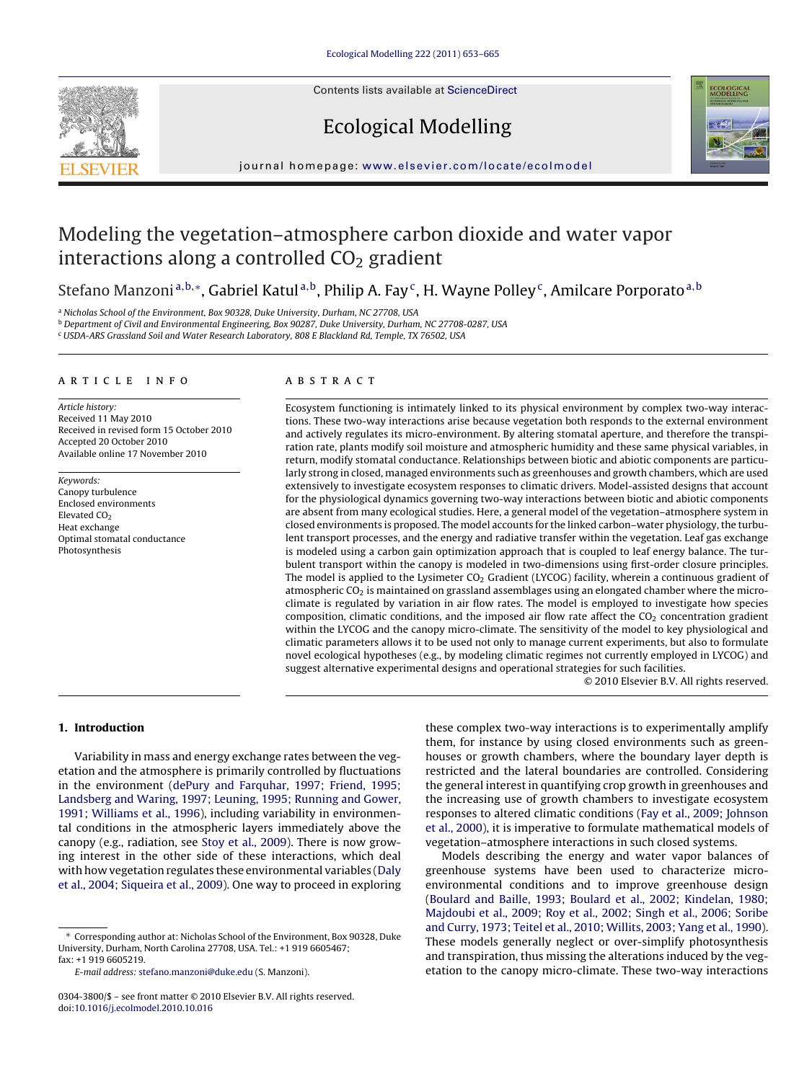Contents lists available at [ScienceDirect](http://www.sciencedirect.com/science/journal/03043800)







journal homepage: [www.elsevier.com/locate/ecolmodel](http://www.elsevier.com/locate/ecolmodel)

# Modeling the vegetation–atmosphere carbon dioxide and water vapor interactions along a controlled  $CO<sub>2</sub>$  gradient

Stefano Manzoni<sup>a,b,∗</sup>, Gabriel Katul<sup>a,b</sup>, Philip A. Fay<sup>c</sup>, H. Wayne Polley<sup>c</sup>, Amilcare Porporato<sup>a,b</sup>

<sup>a</sup> Nicholas School of the Environment, Box 90328, Duke University, Durham, NC 27708, USA

<sup>b</sup> Department of Civil and Environmental Engineering, Box 90287, Duke University, Durham, NC 27708-0287, USA

<sup>c</sup> USDA-ARS Grassland Soil and Water Research Laboratory, 808 E Blackland Rd, Temple, TX 76502, USA

## article info

Article history: Received 11 May 2010 Received in revised form 15 October 2010 Accepted 20 October 2010 Available online 17 November 2010

Keywords: Canopy turbulence Enclosed environments Elevated CO<sub>2</sub> Heat exchange Optimal stomatal conductance Photosynthesis

## ABSTRACT

Ecosystem functioning is intimately linked to its physical environment by complex two-way interactions. These two-way interactions arise because vegetation both responds to the external environment and actively regulates its micro-environment. By altering stomatal aperture, and therefore the transpiration rate, plants modify soil moisture and atmospheric humidity and these same physical variables, in return, modify stomatal conductance. Relationships between biotic and abiotic components are particularly strong in closed, managed environments such as greenhouses and growth chambers, which are used extensively to investigate ecosystem responses to climatic drivers. Model-assisted designs that account for the physiological dynamics governing two-way interactions between biotic and abiotic components are absent from many ecological studies. Here, a general model of the vegetation–atmosphere system in closed environments is proposed. The model accounts for the linked carbon–water physiology, the turbulent transport processes, and the energy and radiative transfer within the vegetation. Leaf gas exchange is modeled using a carbon gain optimization approach that is coupled to leaf energy balance. The turbulent transport within the canopy is modeled in two-dimensions using first-order closure principles. The model is applied to the Lysimeter  $CO<sub>2</sub>$  Gradient (LYCOG) facility, wherein a continuous gradient of atmospheric CO<sub>2</sub> is maintained on grassland assemblages using an elongated chamber where the microclimate is regulated by variation in air flow rates. The model is employed to investigate how species composition, climatic conditions, and the imposed air flow rate affect the  $CO<sub>2</sub>$  concentration gradient within the LYCOG and the canopy micro-climate. The sensitivity of the model to key physiological and climatic parameters allows it to be used not only to manage current experiments, but also to formulate novel ecological hypotheses (e.g., by modeling climatic regimes not currently employed in LYCOG) and suggest alternative experimental designs and operational strategies for such facilities.

© 2010 Elsevier B.V. All rights reserved.

# **1. Introduction**

Variability in mass and energy exchange rates between the vegetation and the atmosphere is primarily controlled by fluctuations in the environment ([dePury and Farquhar, 1997; Friend, 1995;](#page-11-0) [Landsberg and Waring, 1997; Leuning, 1995; Running and Gower,](#page-11-0) [1991; Williams et al., 1996\),](#page-11-0) including variability in environmental conditions in the atmospheric layers immediately above the canopy (e.g., radiation, see [Stoy et al., 2009\).](#page-12-0) There is now growing interest in the other side of these interactions, which deal with how vegetation regulates these environmental variables [\(Daly](#page-11-0) [et al., 2004; Siqueira et al., 2009\).](#page-11-0) One way to proceed in exploring

∗ Corresponding author at: Nicholas School of the Environment, Box 90328, Duke University, Durham, North Carolina 27708, USA. Tel.: +1 919 6605467; fax: +1 919 6605219.

E-mail address: [stefano.manzoni@duke.edu](mailto:stefano.manzoni@duke.edu) (S. Manzoni).

these complex two-way interactions is to experimentally amplify them, for instance by using closed environments such as greenhouses or growth chambers, where the boundary layer depth is restricted and the lateral boundaries are controlled. Considering the general interest in quantifying crop growth in greenhouses and the increasing use of growth chambers to investigate ecosystem responses to altered climatic conditions [\(Fay et al., 2009; Johnson](#page-11-0) [et al., 2000\),](#page-11-0) it is imperative to formulate mathematical models of vegetation–atmosphere interactions in such closed systems.

Models describing the energy and water vapor balances of greenhouse systems have been used to characterize microenvironmental conditions and to improve greenhouse design [\(Boulard and Baille, 1993; Boulard et al., 2002; Kindelan, 1980;](#page-11-0) [Majdoubi et al., 2009; Roy et al., 2002; Singh et al., 2006; Soribe](#page-11-0) [and Curry, 1973; Teitel et al., 2010; Willits, 2003; Yang et al., 1990\).](#page-11-0) These models generally neglect or over-simplify photosynthesis and transpiration, thus missing the alterations induced by the vegetation to the canopy micro-climate. These two-way interactions

<sup>0304-3800/\$ –</sup> see front matter © 2010 Elsevier B.V. All rights reserved. doi:[10.1016/j.ecolmodel.2010.10.016](dx.doi.org/10.1016/j.ecolmodel.2010.10.016)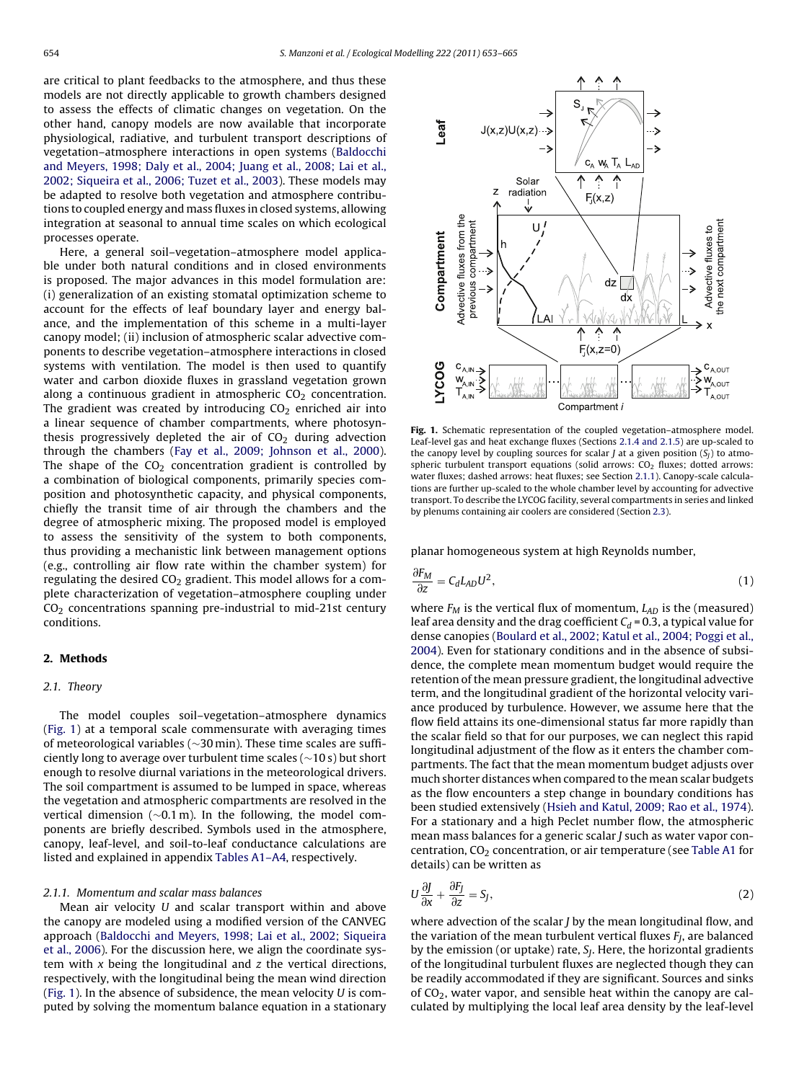<span id="page-1-0"></span>are critical to plant feedbacks to the atmosphere, and thus these models are not directly applicable to growth chambers designed to assess the effects of climatic changes on vegetation. On the other hand, canopy models are now available that incorporate physiological, radiative, and turbulent transport descriptions of vegetation–atmosphere interactions in open systems ([Baldocchi](#page-11-0) [and Meyers, 1998; Daly et al., 2004; Juang et al., 2008; Lai et al.,](#page-11-0) [2002; Siqueira et al., 2006; Tuzet et al., 2003\).](#page-11-0) These models may be adapted to resolve both vegetation and atmosphere contributions to coupled energy and mass fluxes in closed systems, allowing integration at seasonal to annual time scales on which ecological processes operate.

Here, a general soil–vegetation–atmosphere model applicable under both natural conditions and in closed environments is proposed. The major advances in this model formulation are: (i) generalization of an existing stomatal optimization scheme to account for the effects of leaf boundary layer and energy balance, and the implementation of this scheme in a multi-layer canopy model; (ii) inclusion of atmospheric scalar advective components to describe vegetation–atmosphere interactions in closed systems with ventilation. The model is then used to quantify water and carbon dioxide fluxes in grassland vegetation grown along a continuous gradient in atmospheric  $CO<sub>2</sub>$  concentration. The gradient was created by introducing  $CO<sub>2</sub>$  enriched air into a linear sequence of chamber compartments, where photosynthesis progressively depleted the air of  $CO<sub>2</sub>$  during advection through the chambers ([Fay et al., 2009; Johnson et al., 2000\).](#page-11-0) The shape of the  $CO<sub>2</sub>$  concentration gradient is controlled by a combination of biological components, primarily species composition and photosynthetic capacity, and physical components, chiefly the transit time of air through the chambers and the degree of atmospheric mixing. The proposed model is employed to assess the sensitivity of the system to both components, thus providing a mechanistic link between management options (e.g., controlling air flow rate within the chamber system) for regulating the desired  $CO<sub>2</sub>$  gradient. This model allows for a complete characterization of vegetation–atmosphere coupling under  $CO<sub>2</sub>$  concentrations spanning pre-industrial to mid-21st century conditions.

# **2. Methods**

# 2.1. Theory

The model couples soil–vegetation–atmosphere dynamics (Fig. 1) at a temporal scale commensurate with averaging times of meteorological variables (∼30 min). These time scales are sufficiently long to average over turbulent time scales (∼10 s) but short enough to resolve diurnal variations in the meteorological drivers. The soil compartment is assumed to be lumped in space, whereas the vegetation and atmospheric compartments are resolved in the vertical dimension (∼0.1 m). In the following, the model components are briefly described. Symbols used in the atmosphere, canopy, leaf-level, and soil-to-leaf conductance calculations are listed and explained in appendix [Tables A1–A4, r](#page-10-0)espectively.

#### 2.1.1. Momentum and scalar mass balances

Mean air velocity U and scalar transport within and above the canopy are modeled using a modified version of the CANVEG approach ([Baldocchi and Meyers, 1998; Lai et al., 2002; Siqueira](#page-11-0) [et al., 2006\).](#page-11-0) For the discussion here, we align the coordinate system with  $x$  being the longitudinal and  $z$  the vertical directions, respectively, with the longitudinal being the mean wind direction (Fig. 1). In the absence of subsidence, the mean velocity  $U$  is computed by solving the momentum balance equation in a stationary



**Fig. 1.** Schematic representation of the coupled vegetation–atmosphere model. Leaf-level gas and heat exchange fluxes (Sections [2.1.4 and 2.1.5\) a](#page-2-0)re up-scaled to the canopy level by coupling sources for scalar *J* at a given position  $(S_j)$  to atmospheric turbulent transport equations (solid arrows:  $CO<sub>2</sub>$  fluxes; dotted arrows: water fluxes; dashed arrows: heat fluxes; see Section 2.1.1). Canopy-scale calculations are further up-scaled to the whole chamber level by accounting for advective transport. To describe the LYCOG facility, several compartments in series and linked by plenums containing air coolers are considered (Section [2.3\).](#page-4-0)

planar homogeneous system at high Reynolds number,

$$
\frac{\partial F_M}{\partial z} = C_d L_{AD} U^2,\tag{1}
$$

where  $F_M$  is the vertical flux of momentum,  $L_{AD}$  is the (measured) leaf area density and the drag coefficient  $C_d$  = 0.3, a typical value for dense canopies [\(Boulard et al., 2002; Katul et al., 2004; Poggi et al.,](#page-11-0) [2004\).](#page-11-0) Even for stationary conditions and in the absence of subsidence, the complete mean momentum budget would require the retention of the mean pressure gradient, the longitudinal advective term, and the longitudinal gradient of the horizontal velocity variance produced by turbulence. However, we assume here that the flow field attains its one-dimensional status far more rapidly than the scalar field so that for our purposes, we can neglect this rapid longitudinal adjustment of the flow as it enters the chamber compartments. The fact that the mean momentum budget adjusts over much shorter distances when compared to the mean scalar budgets as the flow encounters a step change in boundary conditions has been studied extensively [\(Hsieh and Katul, 2009; Rao et al., 1974\).](#page-11-0) For a stationary and a high Peclet number flow, the atmospheric mean mass balances for a generic scalar J such as water vapor concentration,  $CO<sub>2</sub>$  concentration, or air temperature (see [Table A1](#page-10-0) for details) can be written as

$$
U\frac{\partial J}{\partial x} + \frac{\partial F_j}{\partial z} = S_J,
$$
\n(2)

where advection of the scalar *J* by the mean longitudinal flow, and the variation of the mean turbulent vertical fluxes  $F_I$ , are balanced by the emission (or uptake) rate,  $S_I$ . Here, the horizontal gradients of the longitudinal turbulent fluxes are neglected though they can be readily accommodated if they are significant. Sources and sinks of  $CO<sub>2</sub>$ , water vapor, and sensible heat within the canopy are calculated by multiplying the local leaf area density by the leaf-level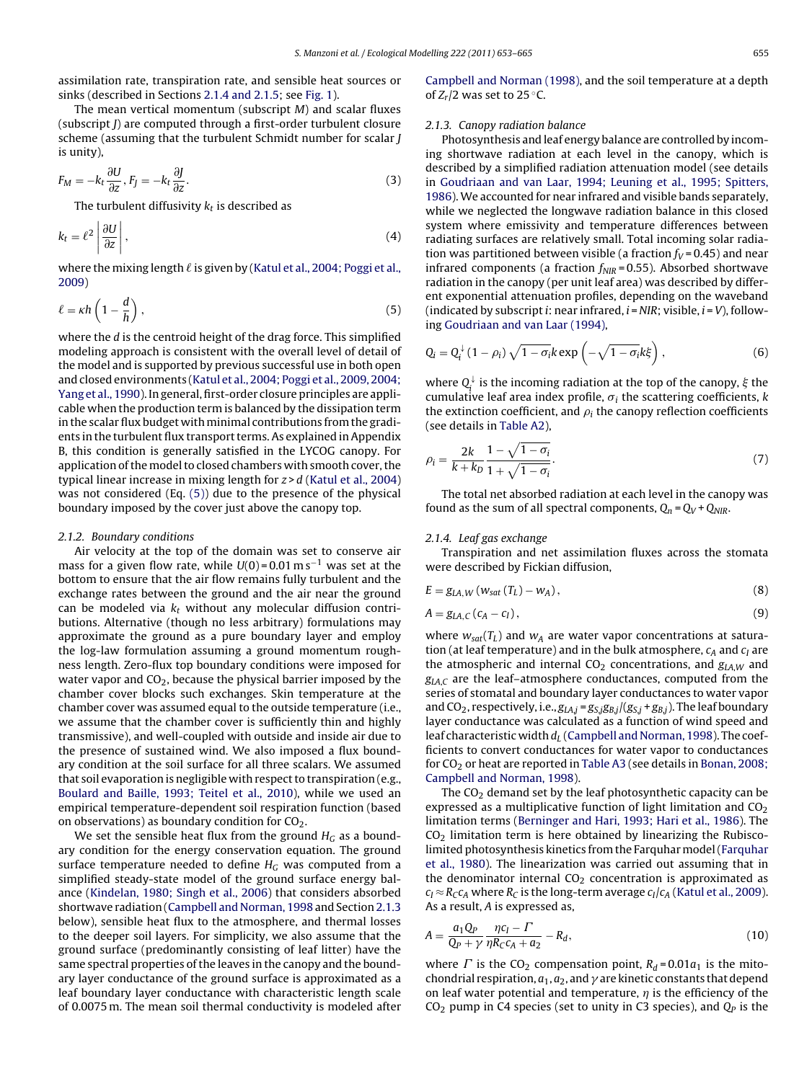<span id="page-2-0"></span>assimilation rate, transpiration rate, and sensible heat sources or sinks (described in Sections 2.1.4 and 2.1.5; see [Fig. 1\).](#page-1-0)

The mean vertical momentum (subscript  $M$ ) and scalar fluxes (subscript J) are computed through a first-order turbulent closure scheme (assuming that the turbulent Schmidt number for scalar J is unity),

$$
F_M = -k_t \frac{\partial U}{\partial z}, F_J = -k_t \frac{\partial J}{\partial z}.
$$
\n(3)

The turbulent diffusivity  $k_t$  is described as

$$
k_t = \ell^2 \left| \frac{\partial U}{\partial z} \right|,\tag{4}
$$

where the mixing length  $\ell$  is given by [\(Katul et al., 2004; Poggi et al.,](#page-12-0) [2009\)](#page-12-0)

$$
\ell = \kappa h \left( 1 - \frac{d}{h} \right),\tag{5}
$$

where the d is the centroid height of the drag force. This simplified modeling approach is consistent with the overall level of detail of the model and is supported by previous successful use in both open and closed environments [\(Katul et al., 2004; Poggi et al., 2009, 2004;](#page-12-0) [Yang et al., 1990\).](#page-12-0) In general, first-order closure principles are applicable when the production term is balanced by the dissipation term in the scalar flux budget with minimal contributions from the gradients in the turbulent flux transport terms. As explained in Appendix B, this condition is generally satisfied in the LYCOG canopy. For application of the model to closed chambers with smooth cover, the typical linear increase in mixing length for  $z > d$  [\(Katul et al., 2004\)](#page-12-0) was not considered (Eq. (5)) due to the presence of the physical boundary imposed by the cover just above the canopy top.

#### 2.1.2. Boundary conditions

Air velocity at the top of the domain was set to conserve air mass for a given flow rate, while  $U(0) = 0.01 \text{ m s}^{-1}$  was set at the bottom to ensure that the air flow remains fully turbulent and the exchange rates between the ground and the air near the ground can be modeled via  $k_t$  without any molecular diffusion contributions. Alternative (though no less arbitrary) formulations may approximate the ground as a pure boundary layer and employ the log-law formulation assuming a ground momentum roughness length. Zero-flux top boundary conditions were imposed for water vapor and  $CO<sub>2</sub>$ , because the physical barrier imposed by the chamber cover blocks such exchanges. Skin temperature at the chamber cover was assumed equal to the outside temperature (i.e., we assume that the chamber cover is sufficiently thin and highly transmissive), and well-coupled with outside and inside air due to the presence of sustained wind. We also imposed a flux boundary condition at the soil surface for all three scalars. We assumed that soil evaporation is negligible with respect to transpiration (e.g., [Boulard and Baille, 1993; Teitel et al., 2010\),](#page-11-0) while we used an empirical temperature-dependent soil respiration function (based on observations) as boundary condition for  $CO<sub>2</sub>$ .

We set the sensible heat flux from the ground  $H_G$  as a boundary condition for the energy conservation equation. The ground surface temperature needed to define  $H_G$  was computed from a simplified steady-state model of the ground surface energy balance [\(Kindelan, 1980; Singh et al., 2006\)](#page-12-0) that considers absorbed shortwave radiation [\(Campbell and Norman, 1998](#page-11-0) and Section 2.1.3 below), sensible heat flux to the atmosphere, and thermal losses to the deeper soil layers. For simplicity, we also assume that the ground surface (predominantly consisting of leaf litter) have the same spectral properties of the leaves in the canopy and the boundary layer conductance of the ground surface is approximated as a leaf boundary layer conductance with characteristic length scale of 0.0075 m. The mean soil thermal conductivity is modeled after [Campbell and Norman \(1998\), a](#page-11-0)nd the soil temperature at a depth of  $Z_r/2$  was set to 25 °C.

#### 2.1.3. Canopy radiation balance

Photosynthesis and leaf energy balance are controlled by incoming shortwave radiation at each level in the canopy, which is described by a simplified radiation attenuation model (see details in [Goudriaan and van Laar, 1994; Leuning et al., 1995; Spitters,](#page-11-0) [1986\).](#page-11-0) We accounted for near infrared and visible bands separately, while we neglected the longwave radiation balance in this closed system where emissivity and temperature differences between radiating surfaces are relatively small. Total incoming solar radiation was partitioned between visible (a fraction  $f_V$  = 0.45) and near infrared components (a fraction  $f_{NIR}$  = 0.55). Absorbed shortwave radiation in the canopy (per unit leaf area) was described by different exponential attenuation profiles, depending on the waveband (indicated by subscript *i*: near infrared,  $i$  = NIR; visible,  $i$  = V), following [Goudriaan and van Laar \(1994\),](#page-11-0)

$$
Q_i = Q_i^{\downarrow} (1 - \rho_i) \sqrt{1 - \sigma_i} k \exp\left(-\sqrt{1 - \sigma_i} k \xi\right), \qquad (6)
$$

where  $Q_i^{\downarrow}$  is the incoming radiation at the top of the canopy,  $\xi$  the cumulative leaf area index profile,  $\sigma_i$  the scattering coefficients, k the extinction coefficient, and  $\rho_i$  the canopy reflection coefficients (see details in [Table A2\),](#page-10-0)

$$
\rho_i = \frac{2k}{k + k_D} \frac{1 - \sqrt{1 - \sigma_i}}{1 + \sqrt{1 - \sigma_i}}.\tag{7}
$$

The total net absorbed radiation at each level in the canopy was found as the sum of all spectral components,  $Q_n = Q_V + Q_{NIR}$ .

#### 2.1.4. Leaf gas exchange

Transpiration and net assimilation fluxes across the stomata were described by Fickian diffusion,

$$
E = g_{LA,W} \left( w_{sat} \left( T_L \right) - w_A \right), \tag{8}
$$

$$
A = g_{LA,C}(c_A - c_I), \qquad (9)
$$

where  $w_{\text{sat}}(T_L)$  and  $w_A$  are water vapor concentrations at saturation (at leaf temperature) and in the bulk atmosphere,  $c_A$  and  $c_I$  are the atmospheric and internal  $CO<sub>2</sub>$  concentrations, and  $g<sub>LA,W</sub>$  and  $g_{\text{LAC}}$  are the leaf-atmosphere conductances, computed from the series of stomatal and boundary layer conductances to water vapor and CO<sub>2</sub>, respectively, i.e.,  $g_{LAj} = g_{S,j}g_{B,j}/(g_{S,j} + g_{B,j})$ . The leaf boundary layer conductance was calculated as a function of wind speed and leaf characteristic width  $d_L$  ([Campbell and Norman, 1998\).](#page-11-0) The coefficients to convert conductances for water vapor to conductances for CO<sub>2</sub> or heat are reported in [Table A3](#page-10-0) (see details in [Bonan, 2008;](#page-11-0) [Campbell and Norman, 1998\).](#page-11-0)

The  $CO<sub>2</sub>$  demand set by the leaf photosynthetic capacity can be expressed as a multiplicative function of light limitation and  $CO<sub>2</sub>$ limitation terms [\(Berninger and Hari, 1993; Hari et al., 1986\).](#page-11-0) The  $CO<sub>2</sub>$  limitation term is here obtained by linearizing the Rubiscolimited photosynthesis kinetics from the Farquhar model [\(Farquhar](#page-11-0) [et al., 1980\).](#page-11-0) The linearization was carried out assuming that in the denominator internal  $CO<sub>2</sub>$  concentration is approximated as  $c_I \approx R_C c_A$  where  $R_C$  is the long-term average  $c_I/c_A$  ([Katul et al., 2009\).](#page-12-0) As a result, A is expressed as,

$$
A = \frac{a_1 Q_P}{Q_P + \gamma} \frac{\eta c_I - \Gamma}{\eta R_C c_A + a_2} - R_d,
$$
\n(10)

where  $\Gamma$  is the CO<sub>2</sub> compensation point,  $R_d = 0.01a_1$  is the mitochondrial respiration,  $a_1$ ,  $a_2$ , and  $\gamma$  are kinetic constants that depend on leaf water potential and temperature,  $\eta$  is the efficiency of the  $CO<sub>2</sub>$  pump in C4 species (set to unity in C3 species), and  $Q<sub>P</sub>$  is the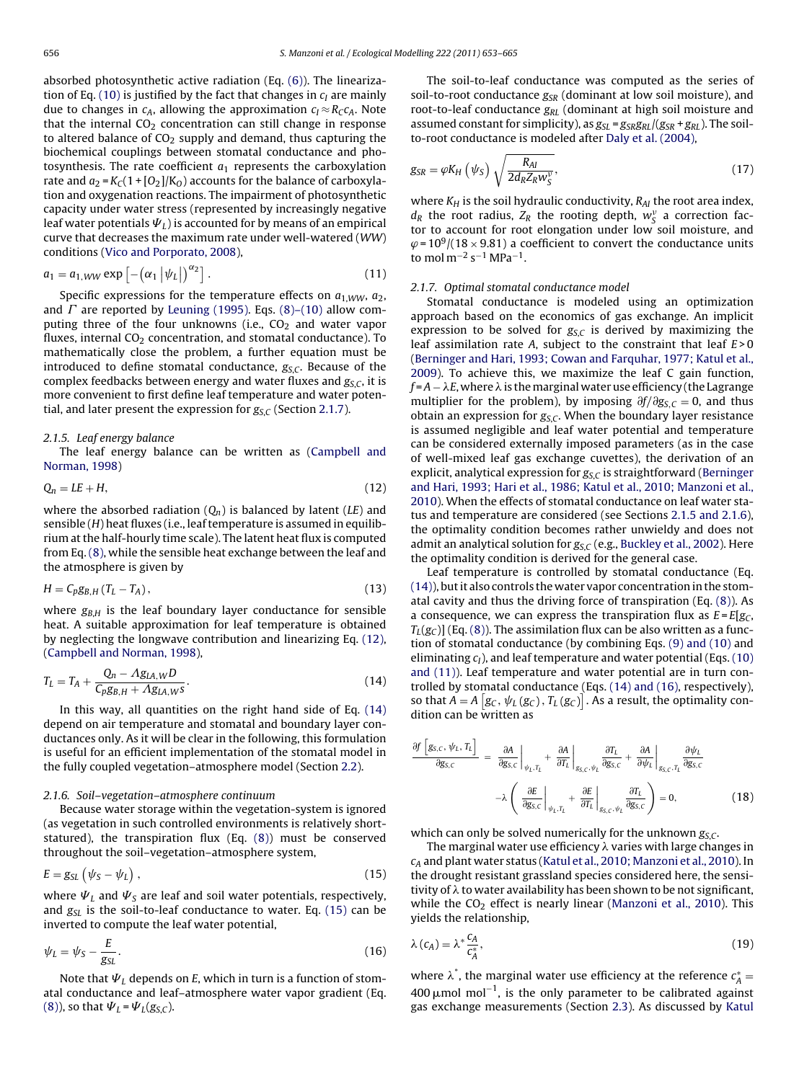<span id="page-3-0"></span>absorbed photosynthetic active radiation (Eq. [\(6\)\).](#page-2-0) The lineariza-tion of Eq. [\(10\)](#page-2-0) is justified by the fact that changes in  $c<sub>I</sub>$  are mainly due to changes in  $c_A$ , allowing the approximation  $c_I \approx R_C c_A$ . Note that the internal  $CO<sub>2</sub>$  concentration can still change in response to altered balance of  $CO<sub>2</sub>$  supply and demand, thus capturing the biochemical couplings between stomatal conductance and photosynthesis. The rate coefficient  $a_1$  represents the carboxylation rate and  $a_2 = K_C(1 + [O_2]/K_O)$  accounts for the balance of carboxylation and oxygenation reactions. The impairment of photosynthetic capacity under water stress (represented by increasingly negative leaf water potentials  $\Psi_L$ ) is accounted for by means of an empirical curve that decreases the maximum rate under well-watered (WW) conditions [\(Vico and Porporato, 2008\),](#page-12-0)

$$
a_1 = a_{1,WW} \exp\left[-\left(\alpha_1 \left|\psi_L\right|\right)^{\alpha_2}\right]. \tag{11}
$$

Specific expressions for the temperature effects on  $a_1_{WW}$ ,  $a_2$ , and  $\varGamma$  are reported by [Leuning \(1995\).](#page-12-0) Eqs. [\(8\)–\(10\)](#page-2-0) allow computing three of the four unknowns (i.e.,  $CO<sub>2</sub>$  and water vapor fluxes, internal  $CO<sub>2</sub>$  concentration, and stomatal conductance). To mathematically close the problem, a further equation must be introduced to define stomatal conductance,  $g_{SC}$ . Because of the complex feedbacks between energy and water fluxes and  $g_{S,C}$ , it is more convenient to first define leaf temperature and water potential, and later present the expression for  $g_{S,C}$  (Section 2.1.7).

#### 2.1.5. Leaf energy balance

The leaf energy balance can be written as [\(Campbell and](#page-11-0) [Norman, 1998\)](#page-11-0)

$$
Q_n = LE + H,\tag{12}
$$

where the absorbed radiation  $(Q_n)$  is balanced by latent (LE) and sensible  $(H)$  heat fluxes (i.e., leaf temperature is assumed in equilibrium at the half-hourly time scale). The latent heat flux is computed from Eq. [\(8\), w](#page-2-0)hile the sensible heat exchange between the leaf and the atmosphere is given by

$$
H = C_p g_{B,H} (T_L - T_A), \qquad (13)
$$

where  $g_{B,H}$  is the leaf boundary layer conductance for sensible heat. A suitable approximation for leaf temperature is obtained by neglecting the longwave contribution and linearizing Eq. (12), ([Campbell and Norman, 1998\),](#page-11-0)

$$
T_L = T_A + \frac{Q_n - Ag_{LA,WD}}{C_p g_{BA,H} + Ag_{LA,WS}}.\tag{14}
$$

In this way, all quantities on the right hand side of Eq. (14) depend on air temperature and stomatal and boundary layer conductances only. As it will be clear in the following, this formulation is useful for an efficient implementation of the stomatal model in the fully coupled vegetation–atmosphere model (Section [2.2\).](#page-4-0)

## 2.1.6. Soil–vegetation–atmosphere continuum

Because water storage within the vegetation-system is ignored (as vegetation in such controlled environments is relatively shortstatured), the transpiration flux (Eq. [\(8\)\)](#page-2-0) must be conserved throughout the soil–vegetation–atmosphere system,

$$
E = g_{SL} \left( \psi_S - \psi_L \right), \tag{15}
$$

where  $\Psi_L$  and  $\Psi_S$  are leaf and soil water potentials, respectively, and  $g_{SL}$  is the soil-to-leaf conductance to water. Eq. (15) can be inverted to compute the leaf water potential,

$$
\psi_L = \psi_S - \frac{E}{g_{SL}}.\tag{16}
$$

Note that  $\Psi_L$  depends on E, which in turn is a function of stomatal conductance and leaf–atmosphere water vapor gradient (Eq. [\(8\)\),](#page-2-0) so that  $\Psi_L = \Psi_L(g_{S,C})$ .

The soil-to-leaf conductance was computed as the series of soil-to-root conductance  $g_{SR}$  (dominant at low soil moisture), and root-to-leaf conductance  $g_{RL}$  (dominant at high soil moisture and assumed constant for simplicity), as  $g_{SL} = g_{SR}g_{RL}/(g_{SR} + g_{RL})$ . The soilto-root conductance is modeled after [Daly et al. \(2004\),](#page-11-0)

$$
g_{SR} = \varphi K_H \left( \psi_S \right) \sqrt{\frac{R_{AI}}{2d_R Z_R w_S^{\nu}}},\tag{17}
$$

where  $K_H$  is the soil hydraulic conductivity,  $R_{AI}$  the root area index,  $d_R$  the root radius,  $Z_R$  the rooting depth,  $w_S^v$  a correction factor to account for root elongation under low soil moisture, and  $\varphi$ =10<sup>9</sup>/(18 × 9.81) a coefficient to convert the conductance units to mol m<sup>-2</sup> s<sup>-1</sup> MPa<sup>-1</sup>.

#### 2.1.7. Optimal stomatal conductance model

Stomatal conductance is modeled using an optimization approach based on the economics of gas exchange. An implicit expression to be solved for  $g_{S,C}$  is derived by maximizing the leaf assimilation rate A, subject to the constraint that leaf  $E > 0$ [\(Berninger and Hari, 1993; Cowan and Farquhar, 1977; Katul et al.,](#page-11-0) [2009\).](#page-11-0) To achieve this, we maximize the leaf C gain function,  $f = A - \lambda E$ , where  $\lambda$  is the marginal water use efficiency (the Lagrange multiplier for the problem), by imposing  $\partial f/\partial g_{S,C} = 0$ , and thus obtain an expression for  $g_{S,C}$ . When the boundary layer resistance is assumed negligible and leaf water potential and temperature can be considered externally imposed parameters (as in the case of well-mixed leaf gas exchange cuvettes), the derivation of an explicit, analytical expression for  $g_{S,C}$  is straightforward [\(Berninger](#page-11-0) [and Hari, 1993; Hari et al., 1986; Katul et al., 2010; Manzoni et al.,](#page-11-0) [2010\).](#page-11-0) When the effects of stomatal conductance on leaf water status and temperature are considered (see Sections 2.1.5 and 2.1.6), the optimality condition becomes rather unwieldy and does not admit an analytical solution for  $g_{S,C}$  (e.g., [Buckley et al., 2002\).](#page-11-0) Here the optimality condition is derived for the general case.

Leaf temperature is controlled by stomatal conductance (Eq. (14)), but it also controls the water vapor concentration in the stomatal cavity and thus the driving force of transpiration (Eq. [\(8\)\).](#page-2-0) As a consequence, we can express the transpiration flux as  $E = E[g_C,$  $T_{L}(g_C)$ ] (Eq. [\(8\)\).](#page-2-0) The assimilation flux can be also written as a function of stomatal conductance (by combining Eqs. [\(9\) and \(10\)](#page-2-0) and eliminating  $c_l$ ), and leaf temperature and water potential (Eqs. [\(10\)](#page-2-0) [and \(11\)\).](#page-2-0) Leaf temperature and water potential are in turn controlled by stomatal conductance (Eqs. (14) and (16), respectively), so that  $A = A \left[g_C, \psi_L(g_C), T_L(g_C)\right]$ . As a result, the optimality condition can be written as

$$
\frac{\partial f \left[g_{S,C}, \psi_{L}, T_{L}\right]}{\partial g_{S,C}} = \frac{\partial A}{\partial g_{S,C}}\Big|_{\psi_{L}, T_{L}} + \frac{\partial A}{\partial T_{L}}\Big|_{g_{S,C}, \psi_{L}} \frac{\partial T_{L}}{\partial g_{S,C}} + \frac{\partial A}{\partial \psi_{L}}\Big|_{g_{S,C}, T_{L}} \frac{\partial \psi_{L}}{\partial g_{S,C}} - \lambda \left(\frac{\partial E}{\partial g_{S,C}}\Big|_{\psi_{L}, T_{L}} + \frac{\partial E}{\partial T_{L}}\Big|_{g_{S,C}, \psi_{L}} \frac{\partial T_{L}}{\partial g_{S,C}}\right) = 0, \tag{18}
$$

which can only be solved numerically for the unknown  $g_{SC}$ .

The marginal water use efficiency  $\lambda$  varies with large changes in  $c_A$  and plant water status [\(Katul et al., 2010; Manzoni et al., 2010\).](#page-12-0) In the drought resistant grassland species considered here, the sensitivity of  $\lambda$  to water availability has been shown to be not significant, while the  $CO<sub>2</sub>$  effect is nearly linear ([Manzoni et al., 2010\).](#page-12-0) This yields the relationship,

$$
\lambda(c_A) = \lambda^* \frac{c_A}{c_A^*},\tag{19}
$$

where  $\lambda^*$ , the marginal water use efficiency at the reference  $c_A^* =$ 400 µmol mol<sup>-1</sup>, is the only parameter to be calibrated against gas exchange measurements (Section [2.3\).](#page-4-0) As discussed by [Katul](#page-12-0)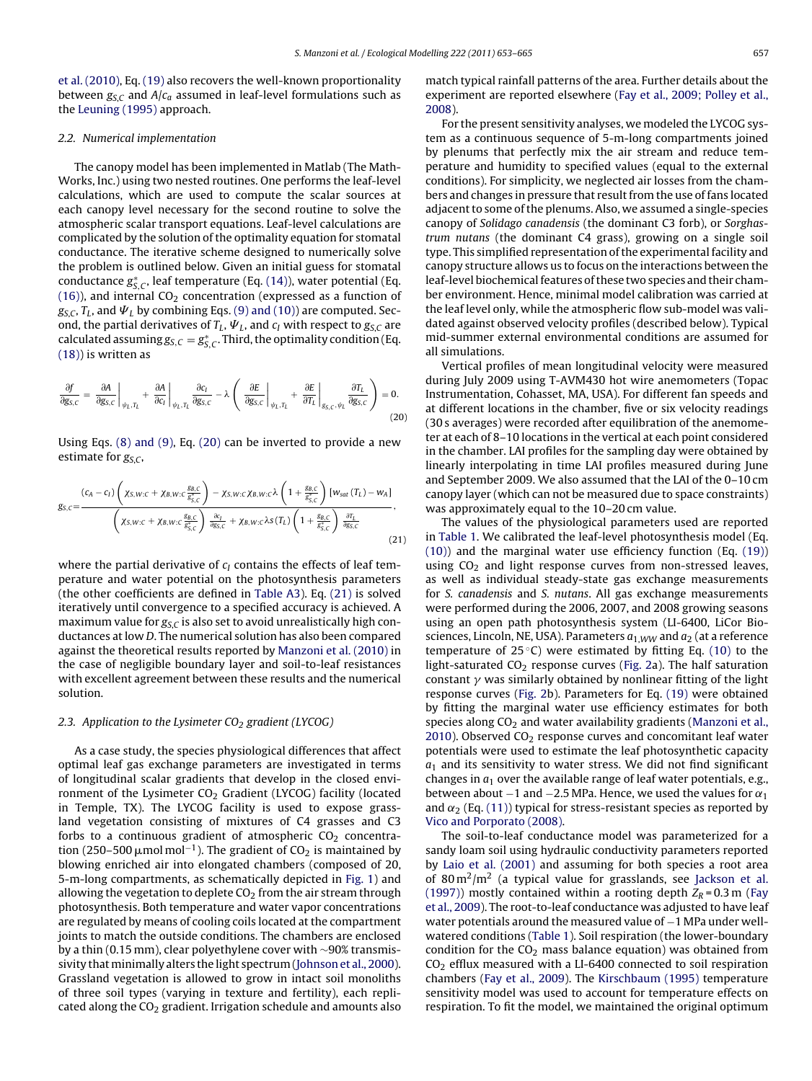<span id="page-4-0"></span>[et al. \(2010\), E](#page-12-0)q. [\(19\)](#page-3-0) also recovers the well-known proportionality between  $g_{S,C}$  and  $A/c_a$  assumed in leaf-level formulations such as the [Leuning \(1995\)](#page-12-0) approach.

## 2.2. Numerical implementation

The canopy model has been implemented in Matlab (The Math-Works, Inc.) using two nested routines. One performs the leaf-level calculations, which are used to compute the scalar sources at each canopy level necessary for the second routine to solve the atmospheric scalar transport equations. Leaf-level calculations are complicated by the solution of the optimality equation for stomatal conductance. The iterative scheme designed to numerically solve the problem is outlined below. Given an initial guess for stomatal conductance  $g^*_{S,C}$ , leaf temperature (Eq. [\(14\)\),](#page-3-0) water potential (Eq. [\(16\)\),](#page-3-0) and internal  $CO<sub>2</sub>$  concentration (expressed as a function of  $g_{S,C}$ ,  $T_L$ , and  $\Psi_L$  by combining Eqs. [\(9\) and \(10\)\)](#page-2-0) are computed. Second, the partial derivatives of  $T_L$ ,  $\Psi_L$ , and  $c_I$  with respect to  $g_{S,C}$  are calculated assuming  $g_{S,C}=g_{S,C}^*$  . Third, the optimality condition (Eq. [\(18\)\)](#page-3-0) is written as

$$
\frac{\partial f}{\partial g_{S,C}} = \frac{\partial A}{\partial g_{S,C}}\Big|_{\psi_L, T_L} + \frac{\partial A}{\partial c_I}\Big|_{\psi_L, T_L} \frac{\partial c_I}{\partial g_{S,C}} - \lambda \left(\frac{\partial E}{\partial g_{S,C}}\Big|_{\psi_L, T_L} + \frac{\partial E}{\partial T_L}\Big|_{g_{S,C}, \psi_L} \frac{\partial T_L}{\partial g_{S,C}}\right) = 0.
$$
\n(20)

Using Eqs. [\(8\) and \(9\), E](#page-2-0)q. (20) can be inverted to provide a new estimate for  $g_{S,C}$ ,

$$
g_{S,C} = \frac{(c_A - c_I) \left( \chi_{S,W:C} + \chi_{B,W:C} \frac{g_{B,C}}{g_{S,C}^*} \right) - \chi_{S,W:C} \chi_{B,W:C} \lambda \left( 1 + \frac{g_{B,C}}{g_{S,C}^*} \right) [w_{sat} (T_L) - w_A]}{\left( \chi_{S,W:C} + \chi_{B,W:C} \frac{g_{B,C}}{g_{S,C}^*} \right) \frac{\partial c_I}{\partial g_{S,C}} + \chi_{B,W:C} \lambda S (T_L) \left( 1 + \frac{g_{B,C}}{g_{S,C}^*} \right) \frac{\partial T_L}{\partial g_{S,C}}} \tag{21}
$$

where the partial derivative of  $c_I$  contains the effects of leaf temperature and water potential on the photosynthesis parameters (the other coefficients are defined in [Table A3\).](#page-10-0) Eq. (21) is solved iteratively until convergence to a specified accuracy is achieved. A maximum value for  $g_{S,C}$  is also set to avoid unrealistically high conductances at low D. The numerical solution has also been compared against the theoretical results reported by [Manzoni et al. \(2010\)](#page-12-0) in the case of negligible boundary layer and soil-to-leaf resistances with excellent agreement between these results and the numerical solution.

## 2.3. Application to the Lysimeter  $CO<sub>2</sub>$  gradient (LYCOG)

As a case study, the species physiological differences that affect optimal leaf gas exchange parameters are investigated in terms of longitudinal scalar gradients that develop in the closed environment of the Lysimeter  $CO<sub>2</sub>$  Gradient (LYCOG) facility (located in Temple, TX). The LYCOG facility is used to expose grassland vegetation consisting of mixtures of C4 grasses and C3 forbs to a continuous gradient of atmospheric  $CO<sub>2</sub>$  concentration (250–500  $\mu$ mol mol $^{-1}$ ). The gradient of CO<sub>2</sub> is maintained by blowing enriched air into elongated chambers (composed of 20, 5-m-long compartments, as schematically depicted in [Fig. 1\)](#page-1-0) and allowing the vegetation to deplete  $CO<sub>2</sub>$  from the air stream through photosynthesis. Both temperature and water vapor concentrations are regulated by means of cooling coils located at the compartment joints to match the outside conditions. The chambers are enclosed by a thin (0.15 mm), clear polyethylene cover with ∼90% transmis-sivity that minimally alters the light spectrum ([Johnson et al., 2000\).](#page-11-0) Grassland vegetation is allowed to grow in intact soil monoliths of three soil types (varying in texture and fertility), each replicated along the  $CO<sub>2</sub>$  gradient. Irrigation schedule and amounts also

match typical rainfall patterns of the area. Further details about the experiment are reported elsewhere [\(Fay et al., 2009; Polley et al.,](#page-11-0) [2008\).](#page-11-0)

For the present sensitivity analyses, we modeled the LYCOG system as a continuous sequence of 5-m-long compartments joined by plenums that perfectly mix the air stream and reduce temperature and humidity to specified values (equal to the external conditions). For simplicity, we neglected air losses from the chambers and changes in pressure that result from the use of fans located adjacent to some of the plenums. Also, we assumed a single-species canopy of Solidago canadensis (the dominant C3 forb), or Sorghastrum nutans (the dominant C4 grass), growing on a single soil type. This simplified representation of the experimental facility and canopy structure allows us to focus on the interactions between the leaf-level biochemical features of these two species and their chamber environment. Hence, minimal model calibration was carried at the leaf level only, while the atmospheric flow sub-model was validated against observed velocity profiles (described below). Typical mid-summer external environmental conditions are assumed for all simulations.

Vertical profiles of mean longitudinal velocity were measured during July 2009 using T-AVM430 hot wire anemometers (Topac Instrumentation, Cohasset, MA, USA). For different fan speeds and at different locations in the chamber, five or six velocity readings (30 s averages) were recorded after equilibration of the anemometer at each of 8–10 locations in the vertical at each point considered in the chamber. LAI profiles for the sampling day were obtained by linearly interpolating in time LAI profiles measured during June and September 2009. We also assumed that the LAI of the 0–10 cm canopy layer (which can not be measured due to space constraints) was approximately equal to the 10–20 cm value.

The values of the physiological parameters used are reported in [Table 1. W](#page-5-0)e calibrated the leaf-level photosynthesis model (Eq. [\(10\)\)](#page-2-0) and the marginal water use efficiency function (Eq. [\(19\)\)](#page-3-0) using  $CO<sub>2</sub>$  and light response curves from non-stressed leaves, as well as individual steady-state gas exchange measurements for S. canadensis and S. nutans. All gas exchange measurements were performed during the 2006, 2007, and 2008 growing seasons using an open path photosynthesis system (LI-6400, LiCor Biosciences, Lincoln, NE, USA). Parameters  $a_{1,WW}$  and  $a_2$  (at a reference temperature of  $25^{\circ}$ C) were estimated by fitting Eq. [\(10\)](#page-2-0) to the light-saturated  $CO<sub>2</sub>$  response curves ([Fig. 2a\)](#page-5-0). The half saturation constant  $\gamma$  was similarly obtained by nonlinear fitting of the light response curves [\(Fig. 2b](#page-5-0)). Parameters for Eq. [\(19\)](#page-3-0) were obtained by fitting the marginal water use efficiency estimates for both species along  $CO<sub>2</sub>$  and water availability gradients [\(Manzoni et al.,](#page-12-0) [2010\).](#page-12-0) Observed  $CO<sub>2</sub>$  response curves and concomitant leaf water potentials were used to estimate the leaf photosynthetic capacity  $a_1$  and its sensitivity to water stress. We did not find significant changes in  $a_1$  over the available range of leaf water potentials, e.g., between about  $-1$  and  $-2.5$  MPa. Hence, we used the values for  $\alpha_1$ and  $\alpha_2$  (Eq. [\(11\)\) t](#page-3-0)ypical for stress-resistant species as reported by [Vico and Porporato \(2008\).](#page-12-0)

The soil-to-leaf conductance model was parameterized for a sandy loam soil using hydraulic conductivity parameters reported by [Laio et al. \(2001\)](#page-12-0) and assuming for both species a root area of 80 m<sup>2</sup>/m<sup>2</sup> (a typical value for grasslands, see [Jackson et al.](#page-11-0) [\(1997\)\)](#page-11-0) mostly contained within a rooting depth  $Z_R = 0.3$  m ([Fay](#page-11-0) [et al., 2009\).](#page-11-0) The root-to-leaf conductance was adjusted to have leaf water potentials around the measured value of −1 MPa under wellwatered conditions ([Table 1\).](#page-5-0) Soil respiration (the lower-boundary condition for the  $CO<sub>2</sub>$  mass balance equation) was obtained from  $CO<sub>2</sub>$  efflux measured with a LI-6400 connected to soil respiration chambers [\(Fay et al., 2009\).](#page-11-0) The [Kirschbaum \(1995\)](#page-12-0) temperature sensitivity model was used to account for temperature effects on respiration. To fit the model, we maintained the original optimum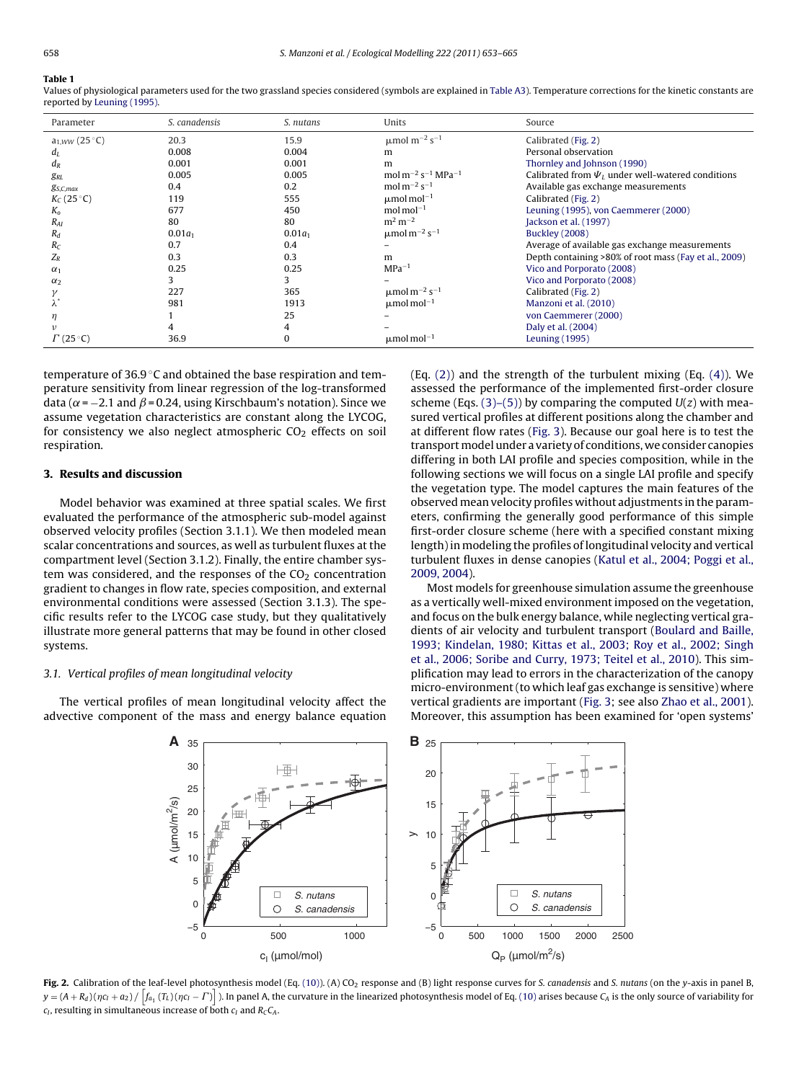#### <span id="page-5-0"></span>**Table 1**

Values of physiological parameters used for the two grassland species considered (symbols are explained in [Table A3\).](#page-10-0) Temperature corrections for the kinetic constants are reported by [Leuning \(1995\).](#page-12-0)

| Parameter          | S. canadensis | S. nutans | Units                                                 | Source                                                 |
|--------------------|---------------|-----------|-------------------------------------------------------|--------------------------------------------------------|
| $a_{1,WW}$ (25 °C) | 20.3          | 15.9      | $μ$ mol m <sup>-2</sup> s <sup>-1</sup>               | Calibrated (Fig. 2)                                    |
| $d_L$              | 0.008         | 0.004     | m                                                     | Personal observation                                   |
| $d_R$              | 0.001         | 0.001     | m                                                     | Thornley and Johnson (1990)                            |
| $g_{RL}$           | 0.005         | 0.005     | mol m <sup>-2</sup> s <sup>-1</sup> MPa <sup>-1</sup> | Calibrated from $\Psi_I$ under well-watered conditions |
| $g_{S,C,max}$      | 0.4           | 0.2       | mol $m^{-2}$ s <sup>-1</sup>                          | Available gas exchange measurements                    |
| $K_C(25^{\circ}C)$ | 119           | 555       | $\mu$ mol mol <sup>-1</sup>                           | Calibrated (Fig. 2)                                    |
| $K_{\alpha}$       | 677           | 450       | $mol$ mol <sup>-1</sup>                               | Leuning (1995), von Caemmerer (2000)                   |
| $R_{AI}$           | 80            | 80        | $m^2 m^{-2}$                                          | Jackson et al. (1997)                                  |
| $R_d$              | $0.01a_1$     | $0.01a_1$ | $\mu$ mol m <sup>-2</sup> s <sup>-1</sup>             | <b>Buckley</b> (2008)                                  |
| $R_C$              | 0.7           | 0.4       |                                                       | Average of available gas exchange measurements         |
| $Z_R$              | 0.3           | 0.3       | m                                                     | Depth containing >80% of root mass (Fay et al., 2009)  |
| $\alpha_1$         | 0.25          | 0.25      | $MPa^{-1}$                                            | Vico and Porporato (2008)                              |
| $\alpha_2$         |               |           |                                                       | Vico and Porporato (2008)                              |
|                    | 227           | 365       | $\mu$ mol m <sup>-2</sup> s <sup>-1</sup>             | Calibrated (Fig. 2)                                    |
|                    | 981           | 1913      | $\mu$ mol mol <sup>-1</sup>                           | Manzoni et al. (2010)                                  |
| η                  |               | 25        |                                                       | von Caemmerer (2000)                                   |
| ν                  |               |           |                                                       | Daly et al. (2004)                                     |
| $\Gamma$ (25 °C)   | 36.9          |           | $\mu$ mol mol <sup>-1</sup>                           | Leuning (1995)                                         |

temperature of 36.9 ℃ and obtained the base respiration and temperature sensitivity from linear regression of the log-transformed data ( $\alpha$  = −2.1 and  $\beta$  = 0.24, using Kirschbaum's notation). Since we assume vegetation characteristics are constant along the LYCOG, for consistency we also neglect atmospheric  $CO<sub>2</sub>$  effects on soil respiration.

## **3. Results and discussion**

Model behavior was examined at three spatial scales. We first evaluated the performance of the atmospheric sub-model against observed velocity profiles (Section 3.1.1). We then modeled mean scalar concentrations and sources, as well as turbulent fluxes at the compartment level (Section 3.1.2). Finally, the entire chamber system was considered, and the responses of the  $CO<sub>2</sub>$  concentration gradient to changes in flow rate, species composition, and external environmental conditions were assessed (Section 3.1.3). The specific results refer to the LYCOG case study, but they qualitatively illustrate more general patterns that may be found in other closed systems.

# 3.1. Vertical profiles of mean longitudinal velocity

The vertical profiles of mean longitudinal velocity affect the advective component of the mass and energy balance equation (Eq. [\(2\)\)](#page-1-0) and the strength of the turbulent mixing (Eq. [\(4\)\).](#page-2-0) We assessed the performance of the implemented first-order closure scheme (Eqs. [\(3\)–\(5\)\)](#page-2-0) by comparing the computed  $U(z)$  with measured vertical profiles at different positions along the chamber and at different flow rates ([Fig. 3\).](#page-6-0) Because our goal here is to test the transport model under a variety of conditions, we consider canopies differing in both LAI profile and species composition, while in the following sections we will focus on a single LAI profile and specify the vegetation type. The model captures the main features of the observed mean velocity profiles without adjustments in the parameters, confirming the generally good performance of this simple first-order closure scheme (here with a specified constant mixing length) in modeling the profiles of longitudinal velocity and vertical turbulent fluxes in dense canopies ([Katul et al., 2004; Poggi et al.,](#page-12-0) [2009, 2004\).](#page-12-0)

Most models for greenhouse simulation assume the greenhouse as a vertically well-mixed environment imposed on the vegetation, and focus on the bulk energy balance, while neglecting vertical gradients of air velocity and turbulent transport ([Boulard and Baille,](#page-11-0) [1993; Kindelan, 1980; Kittas et al., 2003; Roy et al., 2002; Singh](#page-11-0) [et al., 2006; Soribe and Curry, 1973; Teitel et al., 2010\).](#page-11-0) This simplification may lead to errors in the characterization of the canopy micro-environment (to which leaf gas exchange is sensitive) where vertical gradients are important [\(Fig. 3;](#page-6-0) see also [Zhao et al., 2001\).](#page-12-0) Moreover, this assumption has been examined for 'open systems'



Fig. 2. Calibration of the leaf-level photosynthesis model (Eq. [\(10\)\).](#page-2-0) (A) CO<sub>2</sub> response and (B) light response curves for S. canadensis and S. nutans (on the y-axis in panel B,  $y = (A + R_d)(\eta c_I + a_2)/\left[f_{a_1}\left(T_L\right)(\eta c_I - \Gamma)\right]$  ). In panel A, the curvature in the linearized photosynthesis model of Eq. [\(10\)](#page-2-0) arises because  $C_A$  is the only source of variability for  $c_I$ , resulting in simultaneous increase of both  $c_I$  and  $R_CC_A$ .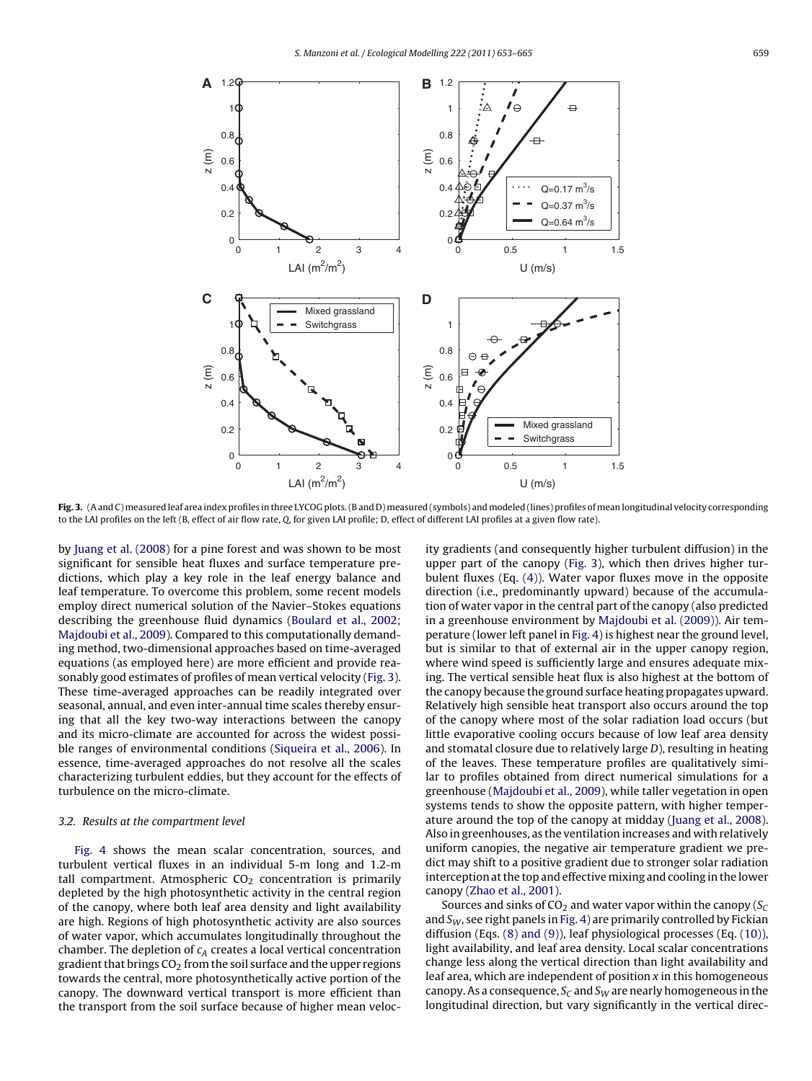<span id="page-6-0"></span>

**Fig. 3.** (A and C) measured leaf area index profiles in three LYCOG plots. (B and D) measured (symbols) and modeled (lines) profiles of mean longitudinal velocity corresponding to the LAI profiles on the left (B, effect of air flow rate, Q, for given LAI profile; D, effect of different LAI profiles at a given flow rate).

by [Juang et al. \(2008\)](#page-11-0) for a pine forest and was shown to be most significant for sensible heat fluxes and surface temperature predictions, which play a key role in the leaf energy balance and leaf temperature. To overcome this problem, some recent models employ direct numerical solution of the Navier–Stokes equations describing the greenhouse fluid dynamics ([Boulard et al., 2002;](#page-11-0) [Majdoubi et al., 2009\).](#page-11-0) Compared to this computationally demanding method, two-dimensional approaches based on time-averaged equations (as employed here) are more efficient and provide reasonably good estimates of profiles of mean vertical velocity (Fig. 3). These time-averaged approaches can be readily integrated over seasonal, annual, and even inter-annual time scales thereby ensuring that all the key two-way interactions between the canopy and its micro-climate are accounted for across the widest possible ranges of environmental conditions [\(Siqueira et al., 2006\).](#page-12-0) In essence, time-averaged approaches do not resolve all the scales characterizing turbulent eddies, but they account for the effects of turbulence on the micro-climate.

## 3.2. Results at the compartment level

[Fig. 4](#page-7-0) shows the mean scalar concentration, sources, and turbulent vertical fluxes in an individual 5-m long and 1.2-m tall compartment. Atmospheric  $CO<sub>2</sub>$  concentration is primarily depleted by the high photosynthetic activity in the central region of the canopy, where both leaf area density and light availability are high. Regions of high photosynthetic activity are also sources of water vapor, which accumulates longitudinally throughout the chamber. The depletion of  $c_A$  creates a local vertical concentration gradient that brings  $CO<sub>2</sub>$  from the soil surface and the upper regions towards the central, more photosynthetically active portion of the canopy. The downward vertical transport is more efficient than the transport from the soil surface because of higher mean velocity gradients (and consequently higher turbulent diffusion) in the upper part of the canopy (Fig. 3), which then drives higher turbulent fluxes (Eq. [\(4\)\).](#page-2-0) Water vapor fluxes move in the opposite direction (i.e., predominantly upward) because of the accumulation of water vapor in the central part of the canopy (also predicted in a greenhouse environment by [Majdoubi et al. \(2009\)\).](#page-12-0) Air temperature (lower left panel in [Fig. 4\) i](#page-7-0)s highest near the ground level, but is similar to that of external air in the upper canopy region, where wind speed is sufficiently large and ensures adequate mixing. The vertical sensible heat flux is also highest at the bottom of the canopy because the ground surface heating propagates upward. Relatively high sensible heat transport also occurs around the top of the canopy where most of the solar radiation load occurs (but little evaporative cooling occurs because of low leaf area density and stomatal closure due to relatively large D), resulting in heating of the leaves. These temperature profiles are qualitatively similar to profiles obtained from direct numerical simulations for a greenhouse ([Majdoubi et al., 2009\),](#page-12-0) while taller vegetation in open systems tends to show the opposite pattern, with higher temperature around the top of the canopy at midday [\(Juang et al., 2008\).](#page-11-0) Also in greenhouses, as the ventilation increases and with relatively uniform canopies, the negative air temperature gradient we predict may shift to a positive gradient due to stronger solar radiation interception at the top and effective mixing and cooling in the lower canopy ([Zhao et al., 2001\).](#page-12-0)

Sources and sinks of CO<sub>2</sub> and water vapor within the canopy ( $S_C$ and  $S_W$ , see right panels in [Fig. 4\) a](#page-7-0)re primarily controlled by Fickian diffusion (Eqs. [\(8\) and \(9\)\),](#page-2-0) leaf physiological processes (Eq. [\(10\)\),](#page-2-0) light availability, and leaf area density. Local scalar concentrations change less along the vertical direction than light availability and leaf area, which are independent of position  $x$  in this homogeneous canopy. As a consequence,  $S_C$  and  $S_W$  are nearly homogeneous in the longitudinal direction, but vary significantly in the vertical direc-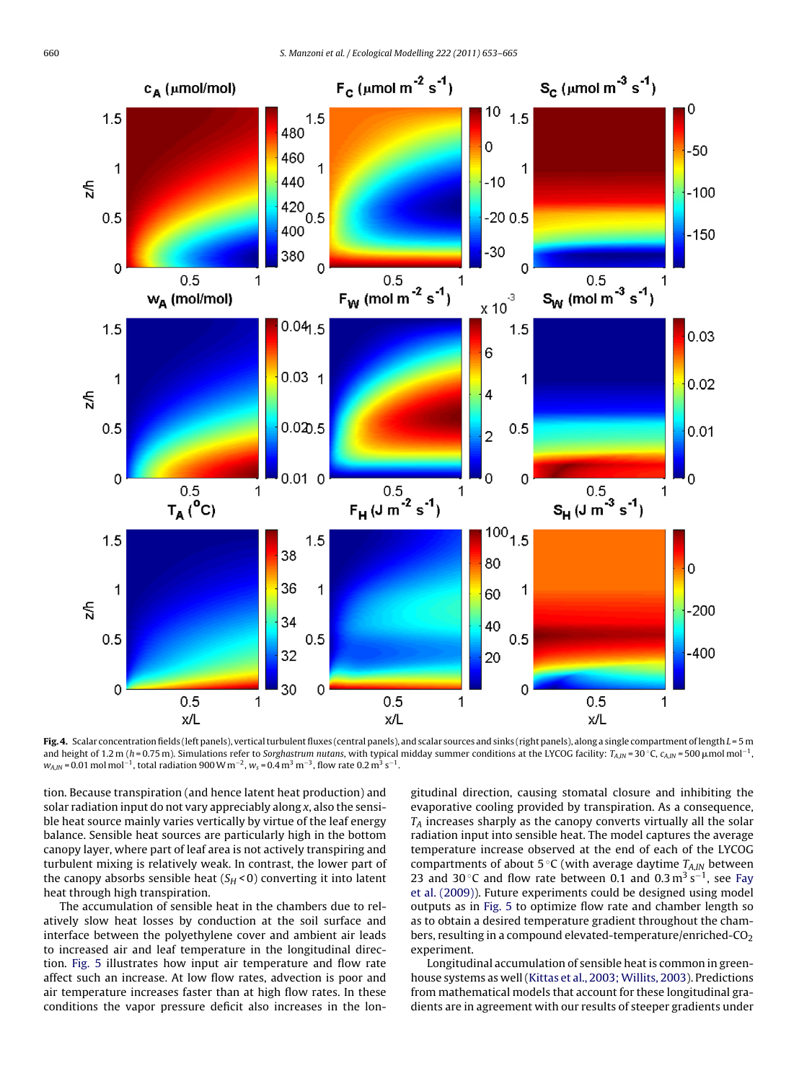<span id="page-7-0"></span>

Fig. 4. Scalar concentration fields (left panels), vertical turbulent fluxes (central panels), and scalar sources and sinks (right panels), along a single compartment of length  $L = 5$  m and height of 1.2 m (h=0.75 m). Simulations refer to Sorghastrum nutans, with typical midday summer conditions at the LYCOG facility: TA,IN = 30 °C, CA,IN = 500  $\mu$ mol mol $^{-1}$ ,  $w_{A,IN}$  = 0.01 mol mol<sup>-1</sup>, total radiation 900 W m<sup>-2</sup>,  $w_s$  = 0.4 m<sup>3</sup> m<sup>-3</sup>, flow rate 0.2 m<sup>3</sup> s<sup>-1</sup>.

tion. Because transpiration (and hence latent heat production) and solar radiation input do not vary appreciably along x, also the sensible heat source mainly varies vertically by virtue of the leaf energy balance. Sensible heat sources are particularly high in the bottom canopy layer, where part of leaf area is not actively transpiring and turbulent mixing is relatively weak. In contrast, the lower part of the canopy absorbs sensible heat  $(S_H < 0)$  converting it into latent heat through high transpiration.

The accumulation of sensible heat in the chambers due to relatively slow heat losses by conduction at the soil surface and interface between the polyethylene cover and ambient air leads to increased air and leaf temperature in the longitudinal direction. [Fig. 5](#page-8-0) illustrates how input air temperature and flow rate affect such an increase. At low flow rates, advection is poor and air temperature increases faster than at high flow rates. In these conditions the vapor pressure deficit also increases in the longitudinal direction, causing stomatal closure and inhibiting the evaporative cooling provided by transpiration. As a consequence,  $T_A$  increases sharply as the canopy converts virtually all the solar radiation input into sensible heat. The model captures the average temperature increase observed at the end of each of the LYCOG compartments of about 5 °C (with average daytime  $T_{A,IN}$  between 23 and 30 °C and flow rate between 0.1 and 0.3 m<sup>3</sup> s<sup>−1</sup>, see [Fay](#page-11-0) [et al. \(2009\)\).](#page-11-0) Future experiments could be designed using model outputs as in [Fig. 5](#page-8-0) to optimize flow rate and chamber length so as to obtain a desired temperature gradient throughout the chambers, resulting in a compound elevated-temperature/enriched- $CO<sub>2</sub>$ experiment.

Longitudinal accumulation of sensible heat is common in greenhouse systems as well (Kittas et al., 2003; Willits, 2003). Predictions from mathematical models that account for these longitudinal gradients are in agreement with our results of steeper gradients under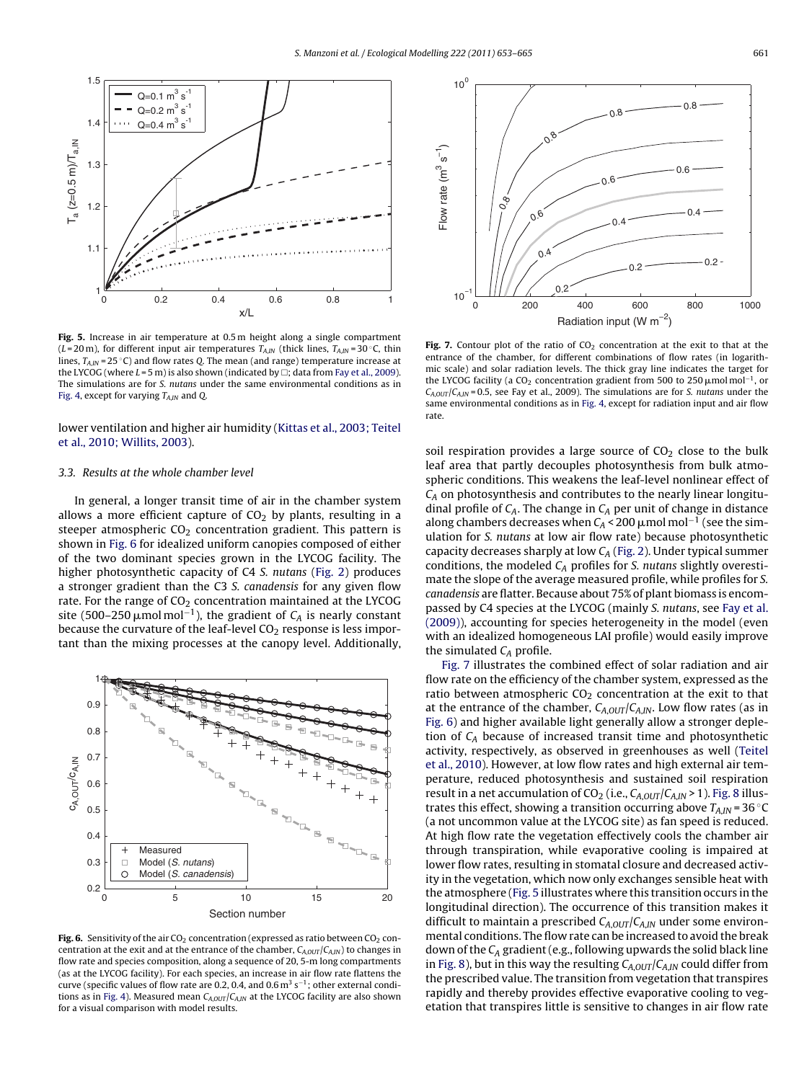<span id="page-8-0"></span>

**Fig. 5.** Increase in air temperature at 0.5 m height along a single compartment (L = 20 m), for different input air temperatures  $T_{AIN}$  (thick lines,  $T_{AIN}$  = 30 °C, thin lines,  $T_{AIN} = 25$  °C) and flow rates O. The mean (and range) temperature increase at the LYCOG (where  $L$  = 5 m) is also shown (indicated by  $\Box$ ; data from [Fay et al., 2009\).](#page-11-0) The simulations are for S. nutans under the same environmental conditions as in [Fig. 4, e](#page-7-0)xcept for varying  $T_{A,IN}$  and Q.

lower ventilation and higher air humidity ([Kittas et al., 2003; Teitel](#page-12-0) [et al., 2010; Willits, 2003\).](#page-12-0)

#### 3.3. Results at the whole chamber level

In general, a longer transit time of air in the chamber system allows a more efficient capture of  $CO<sub>2</sub>$  by plants, resulting in a steeper atmospheric  $CO<sub>2</sub>$  concentration gradient. This pattern is shown in Fig. 6 for idealized uniform canopies composed of either of the two dominant species grown in the LYCOG facility. The higher photosynthetic capacity of C4 S. nutans ([Fig. 2\)](#page-5-0) produces a stronger gradient than the C3 S. canadensis for any given flow rate. For the range of  $CO<sub>2</sub>$  concentration maintained at the LYCOG site (500–250  $\mu$ mol $\mathrm{mol}^{-1}$ ), the gradient of  $\mathcal{C}_A$  is nearly constant because the curvature of the leaf-level  $CO<sub>2</sub>$  response is less important than the mixing processes at the canopy level. Additionally,



Fig. 6. Sensitivity of the air CO<sub>2</sub> concentration (expressed as ratio between CO<sub>2</sub> concentration at the exit and at the entrance of the chamber,  $C_{A,OUT}/C_{A,IN}$ ) to changes in flow rate and species composition, along a sequence of 20, 5-m long compartments (as at the LYCOG facility). For each species, an increase in air flow rate flattens the curve (specific values of flow rate are 0.2, 0.4, and 0.6 m<sup>3</sup> s<sup>-1</sup>; other external condi-tions as in [Fig. 4\).](#page-7-0) Measured mean  $C_{A,OUT}/C_{A,IN}$  at the LYCOG facility are also shown for a visual comparison with model results.



Fig. 7. Contour plot of the ratio of CO<sub>2</sub> concentration at the exit to that at the entrance of the chamber, for different combinations of flow rates (in logarithmic scale) and solar radiation levels. The thick gray line indicates the target for the LYCOG facility (a CO<sub>2</sub> concentration gradient from 500 to 250  $\mu$ mol mol<sup>-1</sup>, or  $C_{A,OUT}/C_{A,IN}$  = 0.5, see Fay et al., 2009). The simulations are for S. nutans under the same environmental conditions as in [Fig. 4, e](#page-7-0)xcept for radiation input and air flow rate.

soil respiration provides a large source of  $CO<sub>2</sub>$  close to the bulk leaf area that partly decouples photosynthesis from bulk atmospheric conditions. This weakens the leaf-level nonlinear effect of  $C_A$  on photosynthesis and contributes to the nearly linear longitudinal profile of  $C_A$ . The change in  $C_A$  per unit of change in distance along chambers decreases when  $C_A$  < 200  $\mu$ mol mol<sup>-1</sup> (see the simulation for S. nutans at low air flow rate) because photosynthetic capacity decreases sharply at low  $C_A$  ([Fig. 2\).](#page-5-0) Under typical summer conditions, the modeled  $C_A$  profiles for S. nutans slightly overestimate the slope of the average measured profile, while profiles for S. canadensis are flatter. Because about 75% of plant biomass is encompassed by C4 species at the LYCOG (mainly S. nutans, see [Fay et al.](#page-11-0) [\(2009\)\),](#page-11-0) accounting for species heterogeneity in the model (even with an idealized homogeneous LAI profile) would easily improve the simulated  $C_A$  profile.

Fig. 7 illustrates the combined effect of solar radiation and air flow rate on the efficiency of the chamber system, expressed as the ratio between atmospheric  $CO<sub>2</sub>$  concentration at the exit to that at the entrance of the chamber,  $C_{A,OUT}/C_{A,IN}$ . Low flow rates (as in Fig. 6) and higher available light generally allow a stronger depletion of  $C_A$  because of increased transit time and photosynthetic activity, respectively, as observed in greenhouses as well [\(Teitel](#page-12-0) [et al., 2010\).](#page-12-0) However, at low flow rates and high external air temperature, reduced photosynthesis and sustained soil respiration result in a net accumulation of  $CO_2$  (i.e.,  $C_{A,OUT}/C_{A,IN}$  > 1). [Fig. 8](#page-9-0) illustrates this effect, showing a transition occurring above  $T_{A,IN}$  = 36 °C (a not uncommon value at the LYCOG site) as fan speed is reduced. At high flow rate the vegetation effectively cools the chamber air through transpiration, while evaporative cooling is impaired at lower flow rates, resulting in stomatal closure and decreased activity in the vegetation, which now only exchanges sensible heat with the atmosphere (Fig. 5 illustrates where this transition occurs in the longitudinal direction). The occurrence of this transition makes it difficult to maintain a prescribed  $C_{A,OUT}/C_{A,IN}$  under some environmental conditions. The flow rate can be increased to avoid the break down of the  $C_A$  gradient (e.g., following upwards the solid black line in [Fig. 8\),](#page-9-0) but in this way the resulting  $C_{A,OUT}/C_{A,IN}$  could differ from the prescribed value. The transition from vegetation that transpires rapidly and thereby provides effective evaporative cooling to vegetation that transpires little is sensitive to changes in air flow rate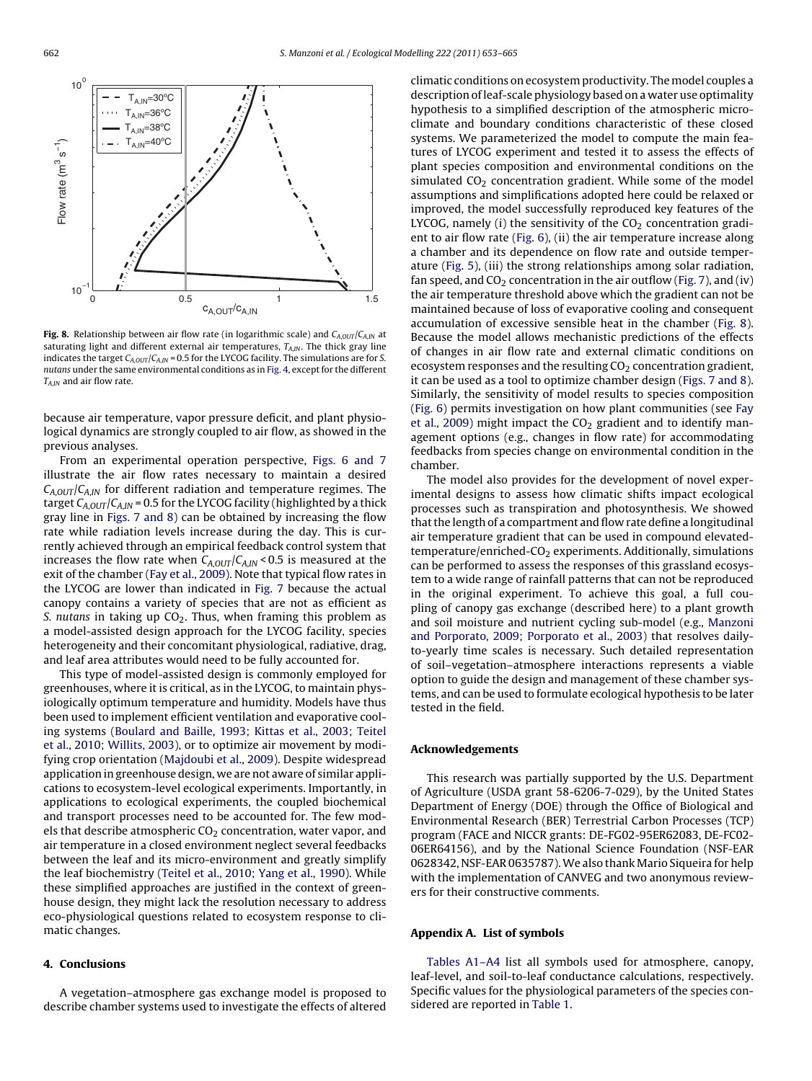<span id="page-9-0"></span>

**Fig. 8.** Relationship between air flow rate (in logarithmic scale) and  $C_{A,OUT}/C_{A,IN}$  at saturating light and different external air temperatures,  $T_{AIN}$ . The thick gray line indicates the target  $C_{A,OUT}/C_{A,IN}$  = 0.5 for the LYCOG facility. The simulations are for S. nutans under the same environmental conditions as in [Fig. 4, e](#page-7-0)xcept for the different  $T_{AM}$  and air flow rate.

because air temperature, vapor pressure deficit, and plant physiological dynamics are strongly coupled to air flow, as showed in the previous analyses.

From an experimental operation perspective, [Figs. 6 and 7](#page-8-0) illustrate the air flow rates necessary to maintain a desired  $C_{A,OUT}/C_{A,IN}$  for different radiation and temperature regimes. The target  $C_{A,OUT}/C_{A,IN}$  = 0.5 for the LYCOG facility (highlighted by a thick gray line in [Figs. 7 and 8\)](#page-8-0) can be obtained by increasing the flow rate while radiation levels increase during the day. This is currently achieved through an empirical feedback control system that increases the flow rate when  $C_{A,OUT}/C_{A,IN}$  < 0.5 is measured at the exit of the chamber ([Fay et al., 2009\).](#page-11-0) Note that typical flow rates in the LYCOG are lower than indicated in [Fig. 7](#page-8-0) because the actual canopy contains a variety of species that are not as efficient as S. nutans in taking up  $CO<sub>2</sub>$ . Thus, when framing this problem as a model-assisted design approach for the LYCOG facility, species heterogeneity and their concomitant physiological, radiative, drag, and leaf area attributes would need to be fully accounted for.

This type of model-assisted design is commonly employed for greenhouses, where it is critical, as in the LYCOG, to maintain physiologically optimum temperature and humidity. Models have thus been used to implement efficient ventilation and evaporative cooling systems [\(Boulard and Baille, 1993; Kittas et al., 2003; Teitel](#page-11-0) [et al., 2010; Willits, 2003\),](#page-11-0) or to optimize air movement by modifying crop orientation [\(Majdoubi et al., 2009\).](#page-12-0) Despite widespread application in greenhouse design, we are not aware of similar applications to ecosystem-level ecological experiments. Importantly, in applications to ecological experiments, the coupled biochemical and transport processes need to be accounted for. The few models that describe atmospheric  $CO<sub>2</sub>$  concentration, water vapor, and air temperature in a closed environment neglect several feedbacks between the leaf and its micro-environment and greatly simplify the leaf biochemistry ([Teitel et al., 2010; Yang et al., 1990\).](#page-12-0) While these simplified approaches are justified in the context of greenhouse design, they might lack the resolution necessary to address eco-physiological questions related to ecosystem response to climatic changes.

# **4. Conclusions**

A vegetation–atmosphere gas exchange model is proposed to describe chamber systems used to investigate the effects of altered climatic conditions on ecosystem productivity. The model couples a description of leaf-scale physiology based on a water use optimality hypothesis to a simplified description of the atmospheric microclimate and boundary conditions characteristic of these closed systems. We parameterized the model to compute the main features of LYCOG experiment and tested it to assess the effects of plant species composition and environmental conditions on the simulated  $CO<sub>2</sub>$  concentration gradient. While some of the model assumptions and simplifications adopted here could be relaxed or improved, the model successfully reproduced key features of the LYCOG, namely (i) the sensitivity of the  $CO<sub>2</sub>$  concentration gradient to air flow rate ([Fig. 6\),](#page-8-0) (ii) the air temperature increase along a chamber and its dependence on flow rate and outside temperature [\(Fig. 5\),](#page-8-0) (iii) the strong relationships among solar radiation, fan speed, and  $CO<sub>2</sub>$  concentration in the air outflow ([Fig. 7\),](#page-8-0) and (iv) the air temperature threshold above which the gradient can not be maintained because of loss of evaporative cooling and consequent accumulation of excessive sensible heat in the chamber (Fig. 8). Because the model allows mechanistic predictions of the effects of changes in air flow rate and external climatic conditions on ecosystem responses and the resulting  $CO<sub>2</sub>$  concentration gradient, it can be used as a tool to optimize chamber design ([Figs. 7 and 8\).](#page-8-0) Similarly, the sensitivity of model results to species composition [\(Fig. 6\)](#page-8-0) permits investigation on how plant communities (see [Fay](#page-11-0) [et al., 2009\)](#page-11-0) might impact the  $CO<sub>2</sub>$  gradient and to identify management options (e.g., changes in flow rate) for accommodating feedbacks from species change on environmental condition in the chamber.

The model also provides for the development of novel experimental designs to assess how climatic shifts impact ecological processes such as transpiration and photosynthesis. We showed that the length of a compartment and flow rate define a longitudinal air temperature gradient that can be used in compound elevated $temperature/enriched-CO<sub>2</sub> experiments. Additionally, simulations$ can be performed to assess the responses of this grassland ecosystem to a wide range of rainfall patterns that can not be reproduced in the original experiment. To achieve this goal, a full coupling of canopy gas exchange (described here) to a plant growth and soil moisture and nutrient cycling sub-model (e.g., [Manzoni](#page-12-0) [and Porporato, 2009; Porporato et al., 2003\)](#page-12-0) that resolves dailyto-yearly time scales is necessary. Such detailed representation of soil–vegetation–atmosphere interactions represents a viable option to guide the design and management of these chamber systems, and can be used to formulate ecological hypothesis to be later tested in the field.

## **Acknowledgements**

This research was partially supported by the U.S. Department of Agriculture (USDA grant 58-6206-7-029), by the United States Department of Energy (DOE) through the Office of Biological and Environmental Research (BER) Terrestrial Carbon Processes (TCP) program (FACE and NICCR grants: DE-FG02-95ER62083, DE-FC02- 06ER64156), and by the National Science Foundation (NSF-EAR 0628342, NSF-EAR 0635787).We also thank Mario Siqueira for help with the implementation of CANVEG and two anonymous reviewers for their constructive comments.

# **Appendix A. List of symbols**

[Tables A1–A4](#page-10-0) list all symbols used for atmosphere, canopy, leaf-level, and soil-to-leaf conductance calculations, respectively. Specific values for the physiological parameters of the species considered are reported in [Table 1.](#page-5-0)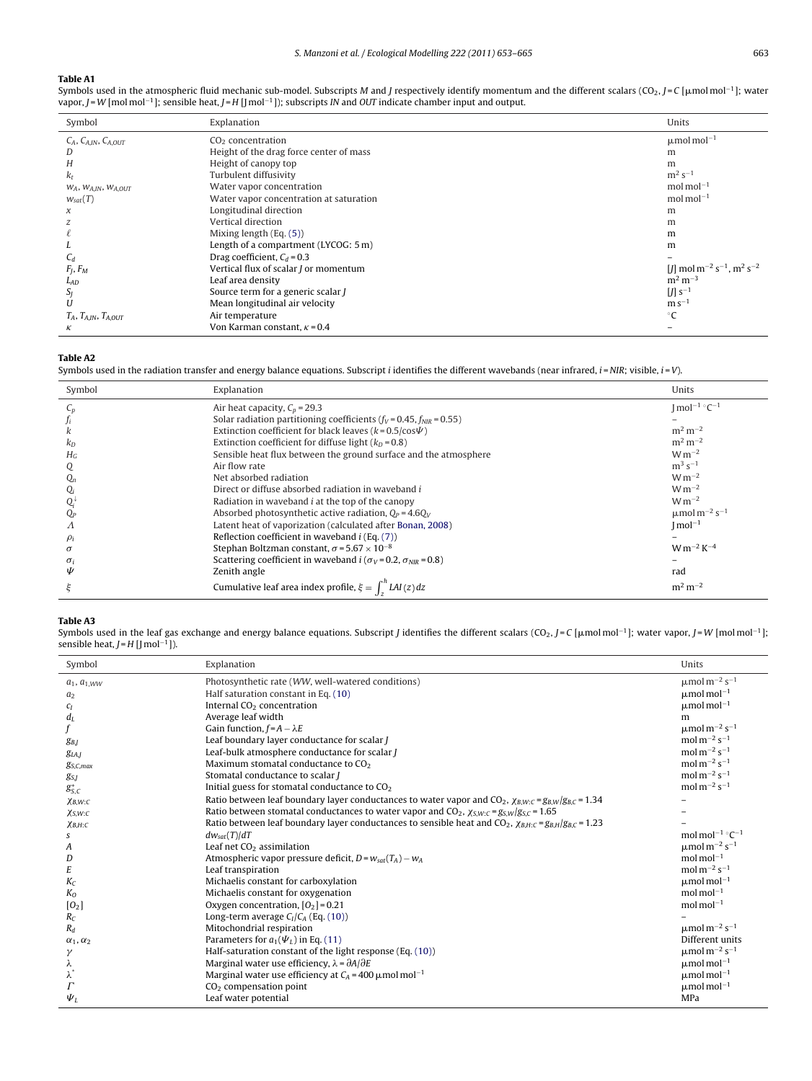## <span id="page-10-0"></span>**Table A1**

l,

Symbols used in the atmospheric fluid mechanic sub-model. Subscripts M and J respectively identify momentum and the different scalars (CO<sub>2</sub>, J = C [µmol mol<sup>−1</sup>]; water vapor, J = W [mol mol<sup>-1</sup>]; sensible heat, J = H [J mol<sup>-1</sup>]); subscripts IN and OUT indicate chamber input and output.

| Symbol                           | Explanation                             | Units                                                                      |
|----------------------------------|-----------------------------------------|----------------------------------------------------------------------------|
| $C_A$ , $C_{A,IN}$ , $C_{A,OUT}$ | $CO2$ concentration                     | $\mu$ mol mol <sup>-1</sup>                                                |
| D                                | Height of the drag force center of mass | m                                                                          |
| Н                                | Height of canopy top                    | m                                                                          |
| k <sub>r</sub>                   | Turbulent diffusivity                   | $m^2 s^{-1}$                                                               |
| $W_A$ , $W_{A,IN}$ , $W_{A,OUT}$ | Water vapor concentration               | $mol$ mol $^{-1}$                                                          |
| $W_{\text{sat}}(T)$              | Water vapor concentration at saturation | $mol$ mol $^{-1}$                                                          |
| $\chi$                           | Longitudinal direction                  | m                                                                          |
| z                                | Vertical direction                      | m                                                                          |
|                                  | Mixing length (Eq. (5))                 | m                                                                          |
|                                  | Length of a compartment (LYCOG: 5 m)    | m                                                                          |
| $C_d$                            | Drag coefficient, $C_d = 0.3$           |                                                                            |
| $F_I, F_M$                       | Vertical flux of scalar J or momentum   | $[1]$ mol m <sup>-2</sup> s <sup>-1</sup> , m <sup>2</sup> s <sup>-2</sup> |
| $L_{AD}$                         | Leaf area density                       | $m^2 m^{-3}$                                                               |
| SJ                               | Source term for a generic scalar J      | $[J]$ s <sup>-1</sup>                                                      |
| U                                | Mean longitudinal air velocity          | $ms^{-1}$                                                                  |
| $T_A$ , $T_{A,IN}$ , $T_{A,OUT}$ | Air temperature                         | $^{\circ}C$                                                                |
| к                                | Von Karman constant, $\kappa$ = 0.4     |                                                                            |

# **Table A2**

Symbols used in the radiation transfer and energy balance equations. Subscript *i* identifies the different wavebands (near infrared,  $i = NIR$ ; visible,  $i = V$ ).

| Symbol     | Explanation                                                                 | Units                                     |
|------------|-----------------------------------------------------------------------------|-------------------------------------------|
| $C_n$      | Air heat capacity, $C_p = 29.3$                                             | $\text{Imol}^{-1}$ °C <sup>-1</sup>       |
|            | Solar radiation partitioning coefficients ( $f_V$ = 0.45, $f_{NIR}$ = 0.55) |                                           |
|            | Extinction coefficient for black leaves ( $k = 0.5 / cos \Psi$ )            | $m^2 m^{-2}$                              |
| $k_D$      | Extinction coefficient for diffuse light $(k_D = 0.8)$                      | $m2 m-2$                                  |
| $H_G$      | Sensible heat flux between the ground surface and the atmosphere            | $W m^{-2}$                                |
|            | Air flow rate                                                               | $m^3 s^{-1}$                              |
| $Q_n$      | Net absorbed radiation                                                      | $W m^{-2}$                                |
| Q,         | Direct or diffuse absorbed radiation in waveband i                          | $W m^{-2}$                                |
| Q.         | Radiation in waveband <i>i</i> at the top of the canopy                     | $W m^{-2}$                                |
| $Q_P$      | Absorbed photosynthetic active radiation, $Q_P = 4.6Q_V$                    | $\mu$ mol m <sup>-2</sup> s <sup>-1</sup> |
| Λ          | Latent heat of vaporization (calculated after Bonan, 2008)                  | $Imol^{-1}$                               |
| $\rho_i$   | Reflection coefficient in waveband $i$ (Eq. $(7)$ )                         |                                           |
| $\sigma$   | Stephan Boltzman constant, $\sigma$ = 5.67 $\times$ 10 <sup>-8</sup>        | $W m^{-2} K^{-4}$                         |
| $\sigma_i$ | Scattering coefficient in waveband $i(\sigma_V = 0.2, \sigma_{NIR} = 0.8)$  |                                           |
| Ψ          | Zenith angle                                                                | rad                                       |
|            | Cumulative leaf area index profile, $\xi = \int_{\tau}^{n} LAI(z) dz$       | $m2 m-2$                                  |

#### **Table A3**

Symbols used in the leaf gas exchange and energy balance equations. Subscript J identifies the different scalars (CO2, J=C [µmol mol<sup>−1</sup>]; water vapor, J=W [mol mol<sup>−1</sup>]; sensible heat,  $J = H$  [J mol<sup>-1</sup>]).

| Symbol               | Explanation                                                                                                                 | Units                                                         |
|----------------------|-----------------------------------------------------------------------------------------------------------------------------|---------------------------------------------------------------|
| $a_1, a_{1,WW}$      | Photosynthetic rate (WW, well-watered conditions)                                                                           | $\mu$ mol m <sup>-2</sup> s <sup>-1</sup>                     |
| a <sub>2</sub>       | Half saturation constant in Eq. (10)                                                                                        | $\mu$ mol mol <sup>-1</sup>                                   |
| Cг                   | Internal CO <sub>2</sub> concentration                                                                                      | $\mu$ mol mol <sup>-1</sup>                                   |
| $d_L$                | Average leaf width                                                                                                          | m                                                             |
|                      | Gain function, $f = A - \lambda E$                                                                                          | $\mu \text{mol}\,\text{m}^{-2}\,\text{s}^{-1}$                |
| $g_{B,I}$            | Leaf boundary layer conductance for scalar J                                                                                | mol m <sup>-2</sup> s <sup>-1</sup>                           |
| g <sub>LAJ</sub>     | Leaf-bulk atmosphere conductance for scalar J                                                                               | mol m <sup><math>-2</math></sup> s <sup><math>-1</math></sup> |
| $g_{S,C,max}$        | Maximum stomatal conductance to $CO2$                                                                                       | mol m <sup><math>-2</math></sup> s <sup><math>-1</math></sup> |
| $g_{S,I}$            | Stomatal conductance to scalar /                                                                                            | $mol\,m^{-2}\,s^{-1}$                                         |
| $g_{S,C}^*$          | Initial guess for stomatal conductance to CO <sub>2</sub>                                                                   | mol $m^{-2}$ s <sup>-1</sup>                                  |
| $X$ B,W:C            | Ratio between leaf boundary layer conductances to water vapor and CO <sub>2</sub> , $\chi_{B,W:C} = g_{B,W}/g_{B,C} = 1.34$ |                                                               |
| XS.W:C               | Ratio between stomatal conductances to water vapor and $CO_2$ , $\chi_{S.W:C} = g_{S.W}/g_{S.C} = 1.65$                     |                                                               |
| $\chi_{B,H:C}$       | Ratio between leaf boundary layer conductances to sensible heat and $CO_2$ , $\chi_{B,H:C} = g_{B,H}/g_{B,C} = 1.23$        |                                                               |
|                      | $dw_{sat}(T)/dT$                                                                                                            | mol mol <sup>-1</sup> $\degree$ C <sup>-1</sup>               |
| A                    | Leaf net CO <sub>2</sub> assimilation                                                                                       | $\mu$ mol m <sup>-2</sup> s <sup>-1</sup>                     |
| D                    | Atmospheric vapor pressure deficit, $D = w_{sat}(T_A) - w_A$                                                                | mol mol $^{-1}$                                               |
| E                    | Leaf transpiration                                                                                                          | mol $m^{-2}$ s <sup>-1</sup>                                  |
| $K_C$                | Michaelis constant for carboxylation                                                                                        | $\mu$ mol mol <sup>-1</sup>                                   |
| K <sub>0</sub>       | Michaelis constant for oxygenation                                                                                          | $mol$ mol $^{-1}$                                             |
| [0 <sub>2</sub> ]    | Oxygen concentration, $[O_2] = 0.21$                                                                                        | mol mol $^{-1}$                                               |
| $R_C$                | Long-term average $C_l/C_A$ (Eq. (10))                                                                                      |                                                               |
| $R_d$                | Mitochondrial respiration                                                                                                   | $\mu$ mol m <sup>-2</sup> s <sup>-1</sup>                     |
| $\alpha_1, \alpha_2$ | Parameters for $a_1(\Psi_I)$ in Eq. (11)                                                                                    | Different units                                               |
| γ                    | Half-saturation constant of the light response (Eq. (10))                                                                   | $\mu$ mol m <sup>-2</sup> s <sup>-1</sup>                     |
|                      | Marginal water use efficiency, $\lambda = \partial A / \partial E$                                                          | $\mu$ mol mol <sup>-1</sup>                                   |
| λ                    | Marginal water use efficiency at $C_A$ = 400 $\mu$ mol mol <sup>-1</sup>                                                    | $\mu$ mol mol <sup>-1</sup>                                   |
|                      | $CO2$ compensation point                                                                                                    | $\mu$ mol mol <sup>-1</sup>                                   |
| $\Psi_L$             | Leaf water potential                                                                                                        | MPa                                                           |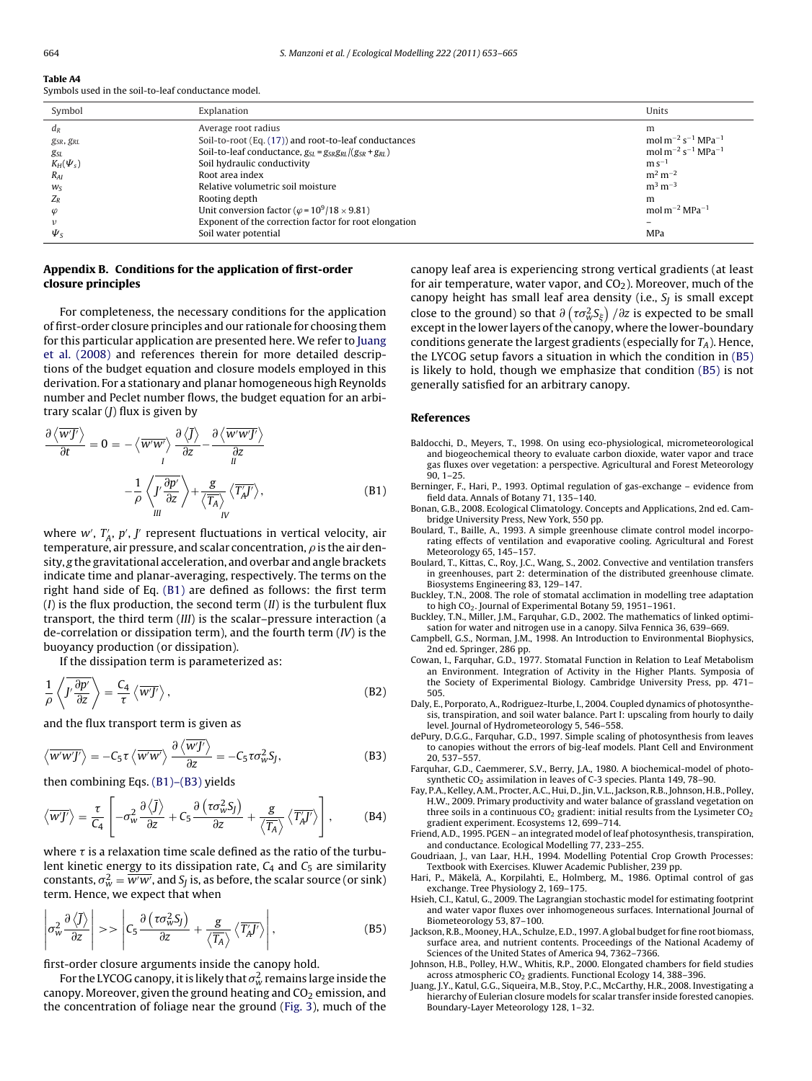<span id="page-11-0"></span>**Table A4**

Symbols used in the soil-to-leaf conductance model.

| Symbol              | Explanation                                                             | Units                                                           |
|---------------------|-------------------------------------------------------------------------|-----------------------------------------------------------------|
| $d_R$               | Average root radius                                                     | m                                                               |
| $g_{SR}$ , $g_{RL}$ | Soil-to-root (Eq. (17)) and root-to-leaf conductances                   | mol m <sup>-2</sup> s <sup>-1</sup> MPa <sup>-1</sup>           |
| gsl                 | Soil-to-leaf conductance, $g_{SL} = g_{SR}g_{RL}/(g_{SR} + g_{RL})$     | mol m <sup>-2</sup> s <sup>-1</sup> MPa <sup>-1</sup>           |
| $K_H(\Psi_s)$       | Soil hydraulic conductivity                                             | $m s^{-1}$                                                      |
| $R_{AI}$            | Root area index                                                         | $m^2 m^{-2}$                                                    |
| $W_{S}$             | Relative volumetric soil moisture                                       | $m^3 m^{-3}$                                                    |
| $Z_R$               | Rooting depth                                                           | m                                                               |
|                     | Unit conversion factor ( $\varphi$ = 10 <sup>9</sup> /18 $\times$ 9.81) | mol m <sup><math>-2</math></sup> MPa <sup><math>-1</math></sup> |
|                     | Exponent of the correction factor for root elongation                   |                                                                 |
| $\Psi_{\rm S}$      | Soil water potential                                                    | MPa                                                             |

# **Appendix B. Conditions for the application of first-order closure principles**

For completeness, the necessary conditions for the application of first-order closure principles and our rationale for choosing them for this particular application are presented here. We refer to Juang et al. (2008) and references therein for more detailed descriptions of the budget equation and closure models employed in this derivation. For a stationary and planar homogeneous high Reynolds number and Peclet number flows, the budget equation for an arbitrary scalar  $(J)$  flux is given by

$$
\frac{\partial \langle \overline{w} \overline{y} \rangle}{\partial t} = 0 = -\langle \overline{w'w'} \rangle \frac{\partial \langle \overline{J} \rangle}{\partial z} - \frac{\partial \langle \overline{w'w'J'} \rangle}{\partial z} \n- \frac{1}{\rho} \langle \overline{J'} \frac{\partial p'}{\partial z} \rangle + \frac{g}{\langle \overline{T_A} \rangle} \langle \overline{T_A} \overline{J'} \rangle, \tag{B1}
$$

where  $w'$ ,  $T_A'$ ,  $p'$ ,  $J'$  represent fluctuations in vertical velocity, air temperature, air pressure, and scalar concentration,  $\rho$  is the air density, g the gravitational acceleration, and overbar and angle brackets indicate time and planar-averaging, respectively. The terms on the right hand side of Eq. (B1) are defined as follows: the first term ( $I$ ) is the flux production, the second term  $(II)$  is the turbulent flux transport, the third term (III) is the scalar–pressure interaction (a de-correlation or dissipation term), and the fourth term  $(IV)$  is the buoyancy production (or dissipation).

If the dissipation term is parameterized as:

$$
\frac{1}{\rho} \left\langle J' \frac{\partial p'}{\partial z} \right\rangle = \frac{C_4}{\tau} \left\langle \overline{w'J'} \right\rangle, \tag{B2}
$$

and the flux transport term is given as

$$
\langle \overline{w'w'J'} \rangle = -C_5 \tau \langle \overline{w'w'} \rangle \frac{\partial \langle \overline{w'J'} \rangle}{\partial z} = -C_5 \tau \sigma_w^2 S_J,
$$
 (B3)

then combining Eqs. (B1)–(B3) yields

$$
\left\langle \overline{w'J'} \right\rangle = \frac{\tau}{C_4} \left[ -\sigma_w^2 \frac{\partial \left\langle \overline{J} \right\rangle}{\partial z} + C_5 \frac{\partial \left( \tau \sigma_w^2 S_J \right)}{\partial z} + \frac{g}{\left\langle \overline{T_A} \right\rangle} \left\langle \overline{T'_A J'} \right\rangle \right],\tag{B4}
$$

where  $\tau$  is a relaxation time scale defined as the ratio of the turbulent kinetic energy to its dissipation rate,  $C_4$  and  $C_5$  are similarity constants,  $\sigma_w^2 = \overline{w'w'}$ , and  $S_J$  is, as before, the scalar source (or sink) term. Hence, we expect that when

$$
\left| \sigma_w^2 \frac{\partial \left\langle \bar{J} \right\rangle}{\partial z} \right| \gg \left| C_5 \frac{\partial \left( \tau \sigma_w^2 S_J \right)}{\partial z} + \frac{g}{\left\langle \overline{T_A} \right\rangle} \left\langle \overline{T_A} \right\rangle \right|,
$$
 (B5)

first-order closure arguments inside the canopy hold.

For the LYCOG canopy, it is likely that  $\sigma_w^2$  remains large inside the canopy. Moreover, given the ground heating and  $CO<sub>2</sub>$  emission, and the concentration of foliage near the ground ([Fig. 3\),](#page-6-0) much of the canopy leaf area is experiencing strong vertical gradients (at least for air temperature, water vapor, and  $CO<sub>2</sub>$ ). Moreover, much of the canopy height has small leaf area density (i.e.,  $S_I$  is small except close to the ground) so that  $\partial\left(\tau\sigma_{w}^{2}\mathcal{S}_{\xi}\right)/\partial z$  is expected to be small except in the lower layers of the canopy, where the lower-boundary conditions generate the largest gradients (especially for  $T_A$ ). Hence, the LYCOG setup favors a situation in which the condition in (B5) is likely to hold, though we emphasize that condition (B5) is not generally satisfied for an arbitrary canopy.

#### **References**

- Baldocchi, D., Meyers, T., 1998. On using eco-physiological, micrometeorological and biogeochemical theory to evaluate carbon dioxide, water vapor and trace gas fluxes over vegetation: a perspective. Agricultural and Forest Meteorology 90, 1–25.
- Berninger, F., Hari, P., 1993. Optimal regulation of gas-exchange evidence from field data. Annals of Botany 71, 135–140.
- Bonan, G.B., 2008. Ecological Climatology. Concepts and Applications, 2nd ed. Cambridge University Press, New York, 550 pp.
- Boulard, T., Baille, A., 1993. A simple greenhouse climate control model incorporating effects of ventilation and evaporative cooling. Agricultural and Forest Meteorology 65, 145–157.
- Boulard, T., Kittas, C., Roy, J.C., Wang, S., 2002. Convective and ventilation transfers in greenhouses, part 2: determination of the distributed greenhouse climate. Biosystems Engineering 83, 129–147.
- Buckley, T.N., 2008. The role of stomatal acclimation in modelling tree adaptation to high CO<sub>2</sub>. Journal of Experimental Botany 59, 1951–1961.
- Buckley, T.N., Miller, J.M., Farquhar, G.D., 2002. The mathematics of linked optimisation for water and nitrogen use in a canopy. Silva Fennica 36, 639–669.
- Campbell, G.S., Norman, J.M., 1998. An Introduction to Environmental Biophysics, 2nd ed. Springer, 286 pp.
- Cowan, I., Farquhar, G.D., 1977. Stomatal Function in Relation to Leaf Metabolism an Environment. Integration of Activity in the Higher Plants. Symposia of the Society of Experimental Biology. Cambridge University Press, pp. 471– 505.
- Daly, E., Porporato, A., Rodriguez-Iturbe, I., 2004. Coupled dynamics of photosynthesis, transpiration, and soil water balance. Part I: upscaling from hourly to daily level. Journal of Hydrometeorology 5, 546–558.
- dePury, D.G.G., Farquhar, G.D., 1997. Simple scaling of photosynthesis from leaves to canopies without the errors of big-leaf models. Plant Cell and Environment 20, 537–557.
- Farquhar, G.D., Caemmerer, S.V., Berry, J.A., 1980. A biochemical-model of photosynthetic CO<sub>2</sub> assimilation in leaves of C-3 species. Planta 149, 78-90.
- Fay, P.A., Kelley, A.M., Procter, A.C., Hui, D., Jin, V.L., Jackson, R.B., Johnson, H.B., Polley, H.W., 2009. Primary productivity and water balance of grassland vegetation on three soils in a continuous  $CO<sub>2</sub>$  gradient: initial results from the Lysimeter  $CO<sub>2</sub>$ gradient experiment. Ecosystems 12, 699–714.
- Friend, A.D., 1995. PGEN an integrated model of leaf photosynthesis, transpiration, and conductance. Ecological Modelling 77, 233–255.
- Goudriaan, J., van Laar, H.H., 1994. Modelling Potential Crop Growth Processes: Textbook with Exercises. Kluwer Academic Publisher, 239 pp.
- Hari, P., Mäkelä, A., Korpilahti, E., Holmberg, M., 1986. Optimal control of gas exchange. Tree Physiology 2, 169–175.
- Hsieh, C.I., Katul, G., 2009. The Lagrangian stochastic model for estimating footprint and water vapor fluxes over inhomogeneous surfaces. International Journal of Biometeorology 53, 87–100.
- Jackson, R.B., Mooney, H.A., Schulze, E.D., 1997. A global budget for fine root biomass, surface area, and nutrient contents. Proceedings of the National Academy of Sciences of the United States of America 94, 7362–7366.
- Johnson, H.B., Polley, H.W., Whitis, R.P., 2000. Elongated chambers for field studies across atmospheric CO<sub>2</sub> gradients. Functional Ecology 14, 388-396.
- Juang, J.Y., Katul, G.G., Siqueira, M.B., Stoy, P.C., McCarthy, H.R., 2008. Investigating a hierarchy of Eulerian closure models for scalar transfer inside forested canopies. Boundary-Layer Meteorology 128, 1–32.